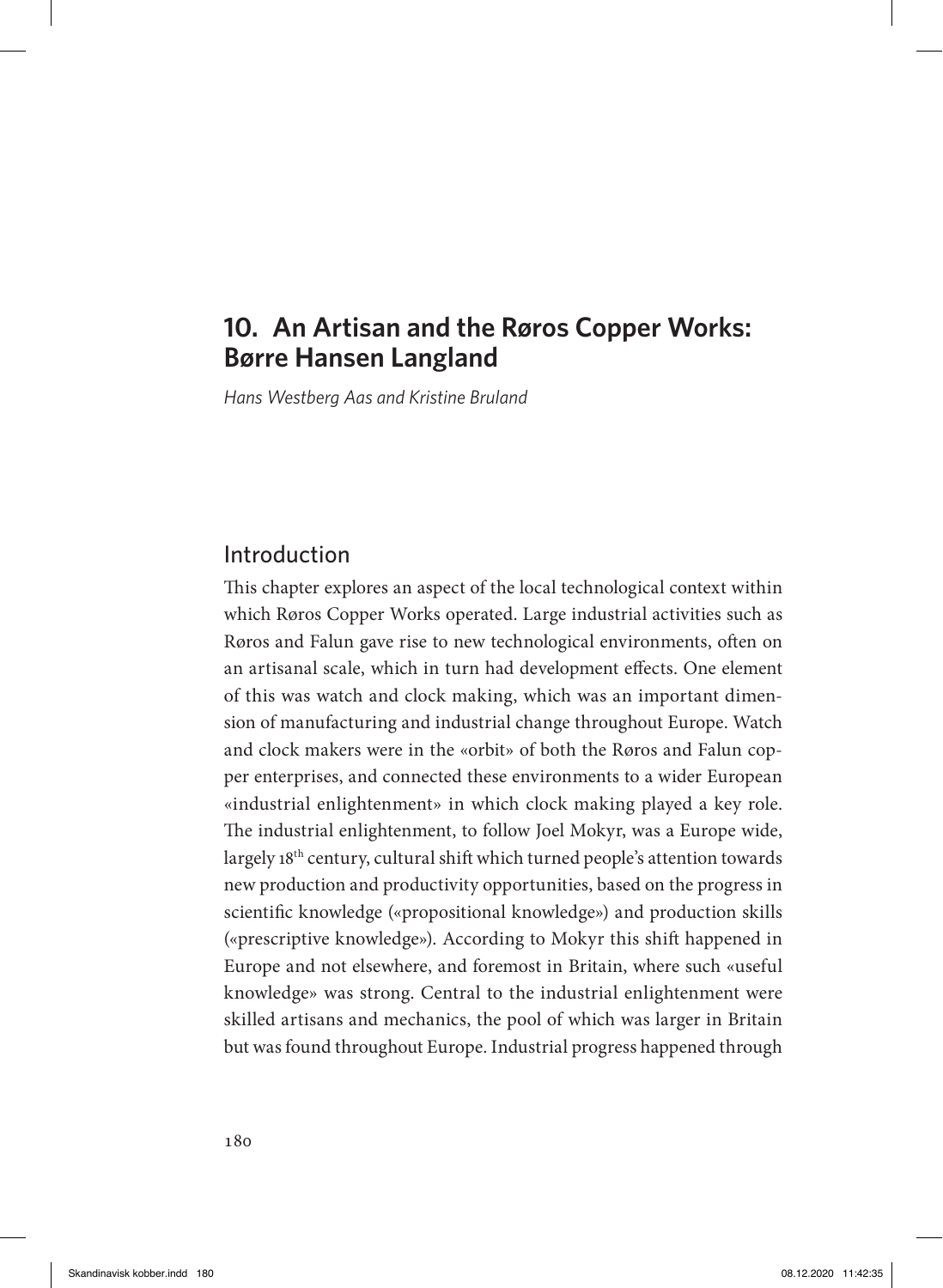# **10. An Artisan and the Røros Copper Works: Børre Hansen Langland**

*Hans Westberg Aas and Kristine Bruland*

# Introduction

This chapter explores an aspect of the local technological context within which Røros Copper Works operated. Large industrial activities such as Røros and Falun gave rise to new technological environments, often on an artisanal scale, which in turn had development effects. One element of this was watch and clock making, which was an important dimension of manufacturing and industrial change throughout Europe. Watch and clock makers were in the «orbit» of both the Røros and Falun copper enterprises, and connected these environments to a wider European «industrial enlightenment» in which clock making played a key role. The industrial enlightenment, to follow Joel Mokyr, was a Europe wide, largely 18<sup>th</sup> century, cultural shift which turned people's attention towards new production and productivity opportunities, based on the progress in scientific knowledge («propositional knowledge») and production skills («prescriptive knowledge»). According to Mokyr this shift happened in Europe and not elsewhere, and foremost in Britain, where such «useful knowledge» was strong. Central to the industrial enlightenment were skilled artisans and mechanics, the pool of which was larger in Britain but was found throughout Europe. Industrial progress happened through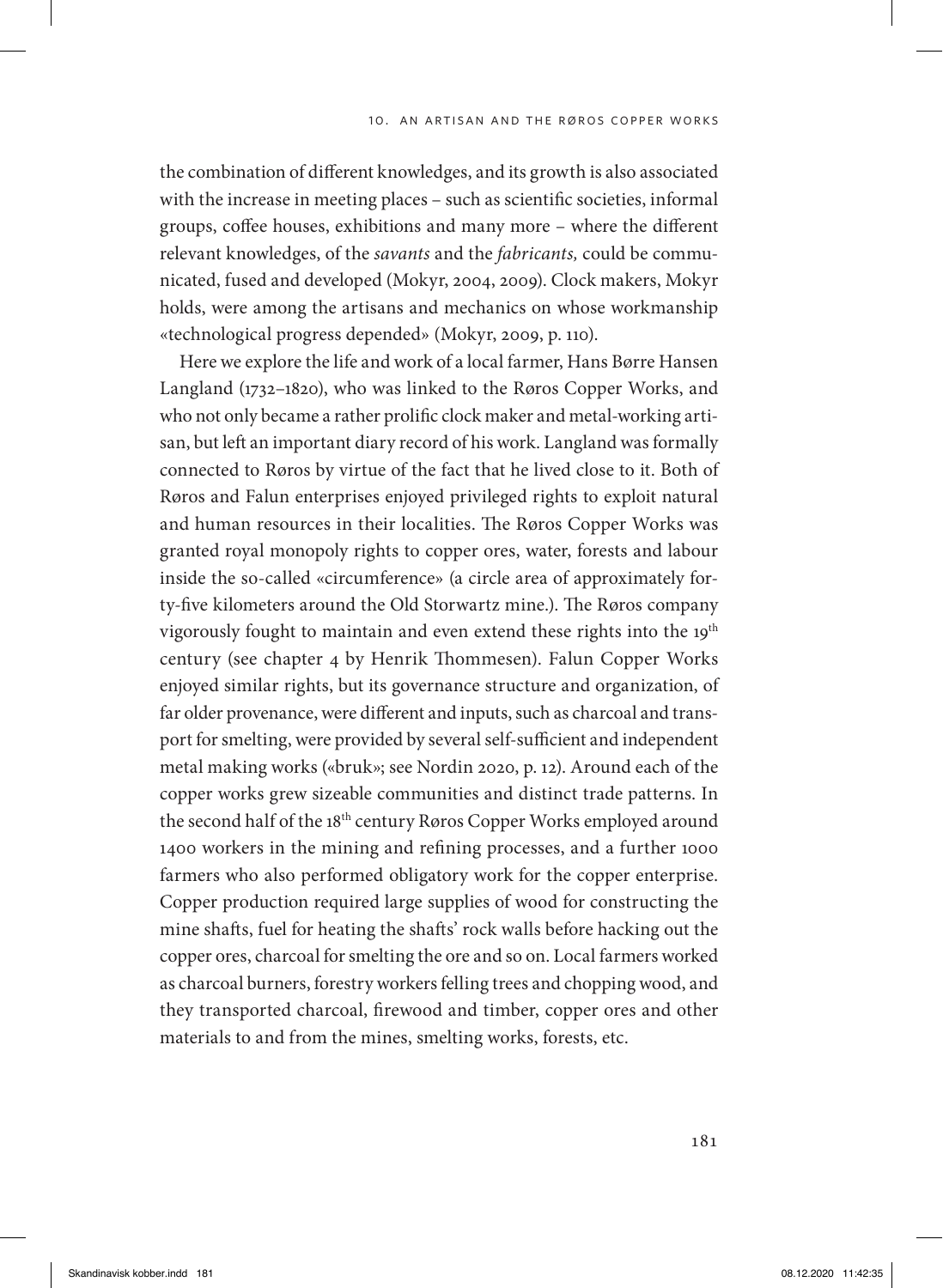the combination of different knowledges, and its growth is also associated with the increase in meeting places – such as scientific societies, informal groups, coffee houses, exhibitions and many more – where the different relevant knowledges, of the *savants* and the *fabricants,* could be communicated, fused and developed (Mokyr, 2004, 2009). Clock makers, Mokyr holds, were among the artisans and mechanics on whose workmanship «technological progress depended» (Mokyr, 2009, p. 110).

Here we explore the life and work of a local farmer, Hans Børre Hansen Langland (1732–1820), who was linked to the Røros Copper Works, and who not only became a rather prolific clock maker and metal-working artisan, but left an important diary record of his work. Langland was formally connected to Røros by virtue of the fact that he lived close to it. Both of Røros and Falun enterprises enjoyed privileged rights to exploit natural and human resources in their localities. The Røros Copper Works was granted royal monopoly rights to copper ores, water, forests and labour inside the so-called «circumference» (a circle area of approximately forty-five kilometers around the Old Storwartz mine.). The Røros company vigorously fought to maintain and even extend these rights into the 19<sup>th</sup> century (see chapter 4 by Henrik Thommesen). Falun Copper Works enjoyed similar rights, but its governance structure and organization, of far older provenance, were different and inputs, such as charcoal and transport for smelting, were provided by several self-sufficient and independent metal making works («bruk»; see Nordin 2020, p. 12). Around each of the copper works grew sizeable communities and distinct trade patterns. In the second half of the 18th century Røros Copper Works employed around 1400 workers in the mining and refining processes, and a further 1000 farmers who also performed obligatory work for the copper enterprise. Copper production required large supplies of wood for constructing the mine shafts, fuel for heating the shafts' rock walls before hacking out the copper ores, charcoal for smelting the ore and so on. Local farmers worked as charcoal burners, forestry workers felling trees and chopping wood, and they transported charcoal, firewood and timber, copper ores and other materials to and from the mines, smelting works, forests, etc.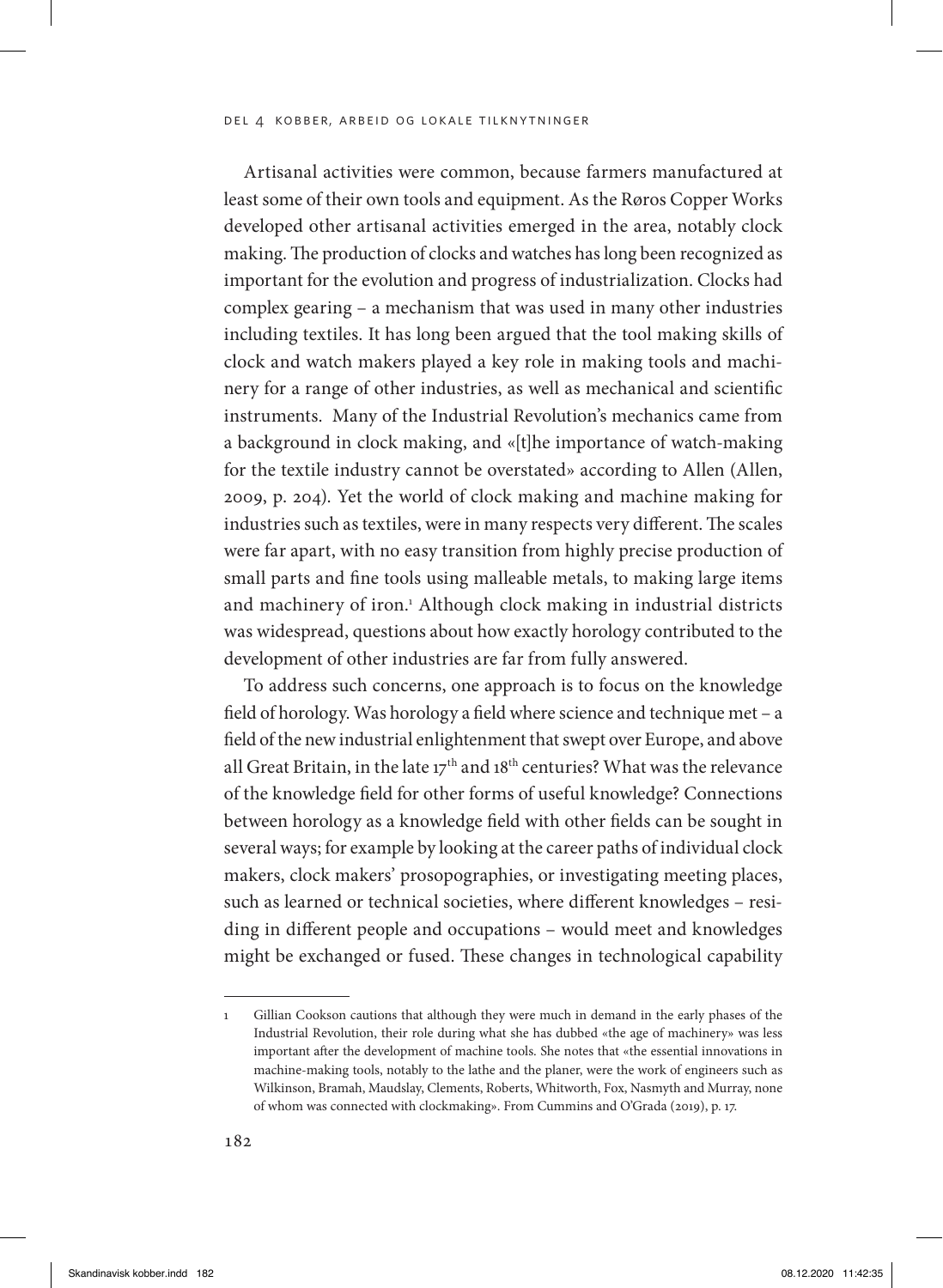Artisanal activities were common, because farmers manufactured at least some of their own tools and equipment. As the Røros Copper Works developed other artisanal activities emerged in the area, notably clock making. The production of clocks and watches has long been recognized as important for the evolution and progress of industrialization. Clocks had complex gearing – a mechanism that was used in many other industries including textiles. It has long been argued that the tool making skills of clock and watch makers played a key role in making tools and machinery for a range of other industries, as well as mechanical and scientific instruments. Many of the Industrial Revolution's mechanics came from a background in clock making, and «[t]he importance of watch-making for the textile industry cannot be overstated» according to Allen (Allen, 2009, p. 204). Yet the world of clock making and machine making for industries such as textiles, were in many respects very different. The scales were far apart, with no easy transition from highly precise production of small parts and fine tools using malleable metals, to making large items and machinery of iron.<sup>1</sup> Although clock making in industrial districts was widespread, questions about how exactly horology contributed to the development of other industries are far from fully answered.

To address such concerns, one approach is to focus on the knowledge field of horology. Was horology a field where science and technique met – a field of the new industrial enlightenment that swept over Europe, and above all Great Britain, in the late  $17<sup>th</sup>$  and  $18<sup>th</sup>$  centuries? What was the relevance of the knowledge field for other forms of useful knowledge? Connections between horology as a knowledge field with other fields can be sought in several ways; for example by looking at the career paths of individual clock makers, clock makers' prosopographies, or investigating meeting places, such as learned or technical societies, where different knowledges – residing in different people and occupations – would meet and knowledges might be exchanged or fused. These changes in technological capability

<sup>1</sup> Gillian Cookson cautions that although they were much in demand in the early phases of the Industrial Revolution, their role during what she has dubbed «the age of machinery» was less important after the development of machine tools. She notes that «the essential innovations in machine-making tools, notably to the lathe and the planer, were the work of engineers such as Wilkinson, Bramah, Maudslay, Clements, Roberts, Whitworth, Fox, Nasmyth and Murray, none of whom was connected with clockmaking». From Cummins and O'Grada (2019), p. 17.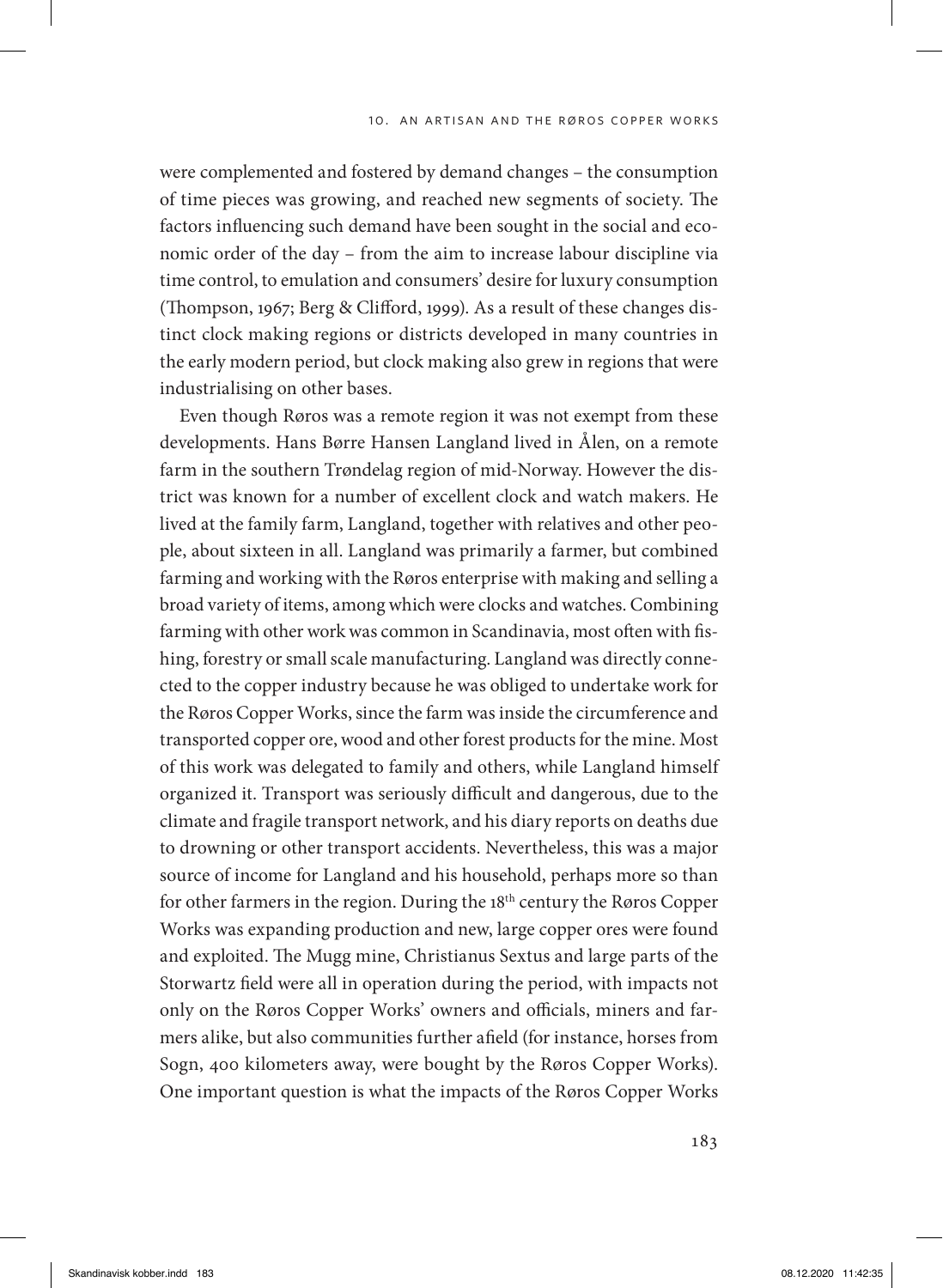were complemented and fostered by demand changes – the consumption of time pieces was growing, and reached new segments of society. The factors influencing such demand have been sought in the social and economic order of the day – from the aim to increase labour discipline via time control, to emulation and consumers' desire for luxury consumption (Thompson, 1967; Berg & Clifford, 1999). As a result of these changes distinct clock making regions or districts developed in many countries in the early modern period, but clock making also grew in regions that were industrialising on other bases.

Even though Røros was a remote region it was not exempt from these developments. Hans Børre Hansen Langland lived in Ålen, on a remote farm in the southern Trøndelag region of mid-Norway. However the district was known for a number of excellent clock and watch makers. He lived at the family farm, Langland, together with relatives and other people, about sixteen in all. Langland was primarily a farmer, but combined farming and working with the Røros enterprise with making and selling a broad variety of items, among which were clocks and watches. Combining farming with other work was common in Scandinavia, most often with fishing, forestry or small scale manufacturing. Langland was directly connected to the copper industry because he was obliged to undertake work for the Røros Copper Works, since the farm was inside the circumference and transported copper ore, wood and other forest products for the mine. Most of this work was delegated to family and others, while Langland himself organized it. Transport was seriously difficult and dangerous, due to the climate and fragile transport network, and his diary reports on deaths due to drowning or other transport accidents. Nevertheless, this was a major source of income for Langland and his household, perhaps more so than for other farmers in the region. During the 18<sup>th</sup> century the Røros Copper Works was expanding production and new, large copper ores were found and exploited. The Mugg mine, Christianus Sextus and large parts of the Storwartz field were all in operation during the period, with impacts not only on the Røros Copper Works' owners and officials, miners and farmers alike, but also communities further afield (for instance, horses from Sogn, 400 kilometers away, were bought by the Røros Copper Works). One important question is what the impacts of the Røros Copper Works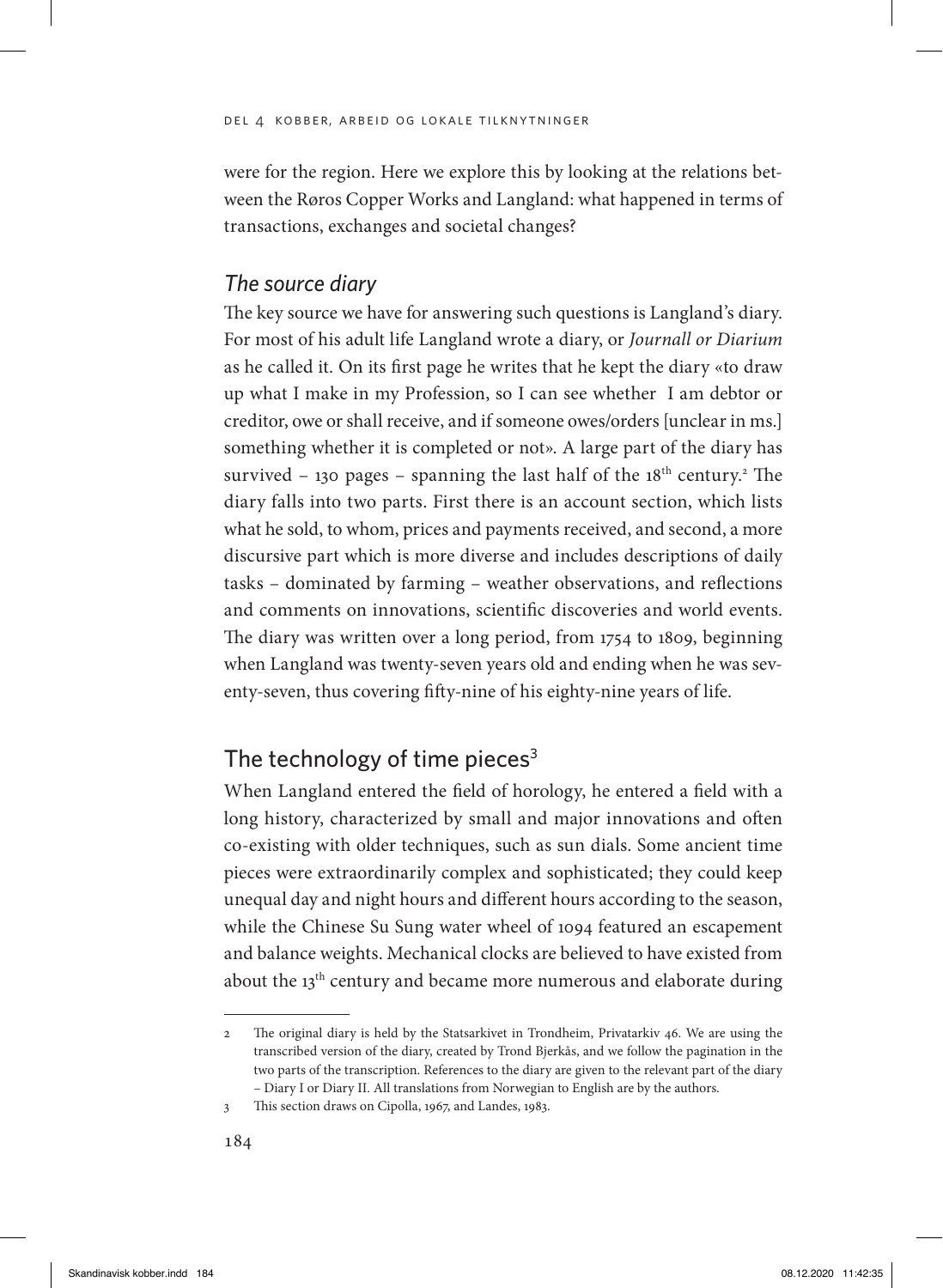were for the region. Here we explore this by looking at the relations between the Røros Copper Works and Langland: what happened in terms of transactions, exchanges and societal changes?

## *The source diary*

The key source we have for answering such questions is Langland's diary. For most of his adult life Langland wrote a diary, or *Journall or Diarium* as he called it. On its first page he writes that he kept the diary «to draw up what I make in my Profession, so I can see whether I am debtor or creditor, owe or shall receive, and if someone owes/orders [unclear in ms.] something whether it is completed or not». A large part of the diary has survived  $-$  130 pages  $-$  spanning the last half of the 18<sup>th</sup> century.<sup>2</sup> The diary falls into two parts. First there is an account section, which lists what he sold, to whom, prices and payments received, and second, a more discursive part which is more diverse and includes descriptions of daily tasks – dominated by farming – weather observations, and reflections and comments on innovations, scientific discoveries and world events. The diary was written over a long period, from 1754 to 1809, beginning when Langland was twenty-seven years old and ending when he was seventy-seven, thus covering fifty-nine of his eighty-nine years of life.

# The technology of time pieces $3$

When Langland entered the field of horology, he entered a field with a long history, characterized by small and major innovations and often co-existing with older techniques, such as sun dials. Some ancient time pieces were extraordinarily complex and sophisticated; they could keep unequal day and night hours and different hours according to the season, while the Chinese Su Sung water wheel of 1094 featured an escapement and balance weights. Mechanical clocks are believed to have existed from about the 13<sup>th</sup> century and became more numerous and elaborate during

<sup>2</sup> The original diary is held by the Statsarkivet in Trondheim, Privatarkiv 46. We are using the transcribed version of the diary, created by Trond Bjerkås, and we follow the pagination in the two parts of the transcription. References to the diary are given to the relevant part of the diary – Diary I or Diary II. All translations from Norwegian to English are by the authors.

<sup>3</sup> This section draws on Cipolla, 1967, and Landes, 1983.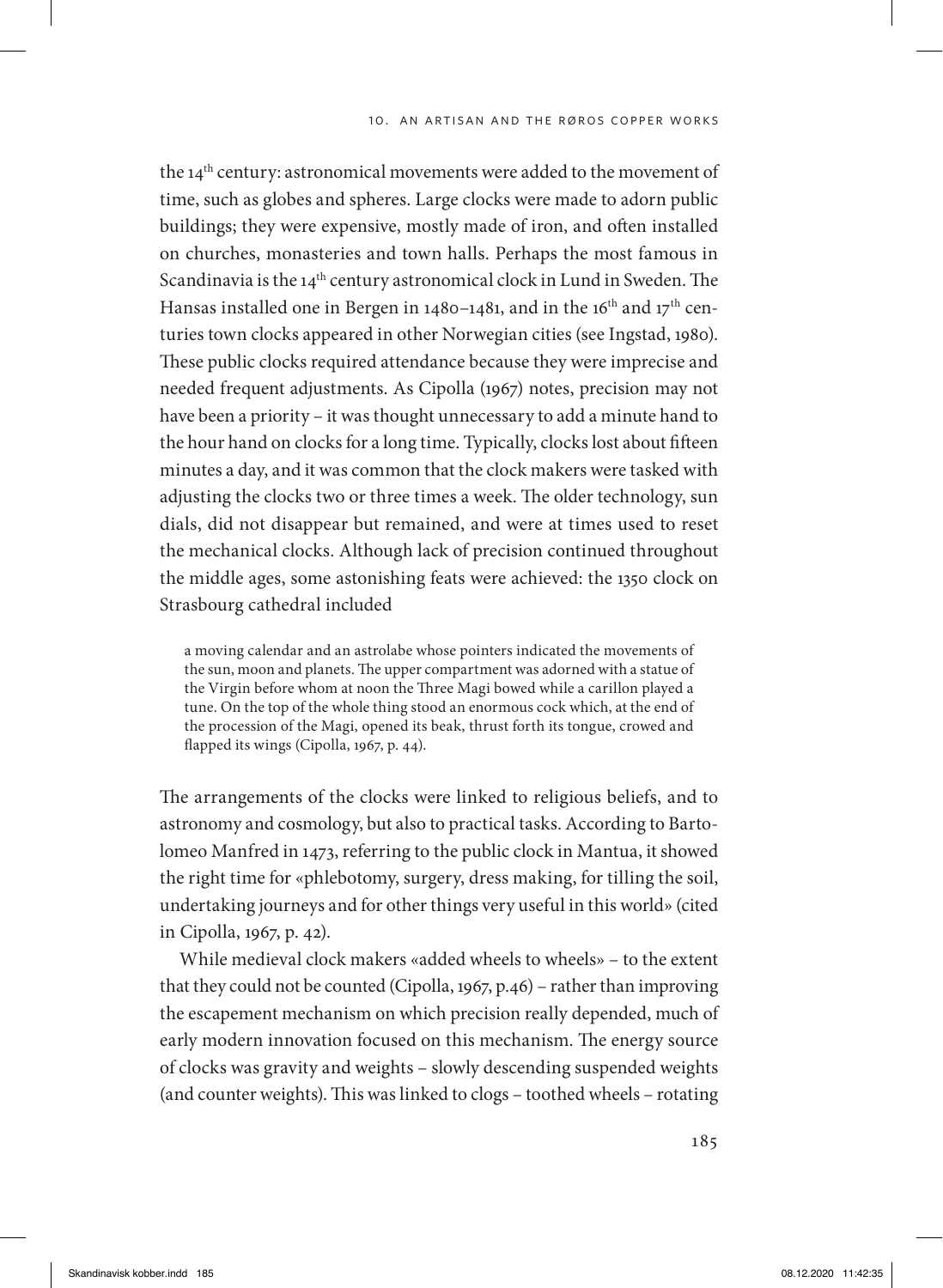the 14<sup>th</sup> century: astronomical movements were added to the movement of time, such as globes and spheres. Large clocks were made to adorn public buildings; they were expensive, mostly made of iron, and often installed on churches, monasteries and town halls. Perhaps the most famous in Scandinavia is the 14<sup>th</sup> century astronomical clock in Lund in Sweden. The Hansas installed one in Bergen in 1480–1481, and in the 16<sup>th</sup> and 17<sup>th</sup> centuries town clocks appeared in other Norwegian cities (see Ingstad, 1980). These public clocks required attendance because they were imprecise and needed frequent adjustments. As Cipolla (1967) notes, precision may not have been a priority – it was thought unnecessary to add a minute hand to the hour hand on clocks for a long time. Typically, clocks lost about fifteen minutes a day, and it was common that the clock makers were tasked with adjusting the clocks two or three times a week. The older technology, sun dials, did not disappear but remained, and were at times used to reset the mechanical clocks. Although lack of precision continued throughout the middle ages, some astonishing feats were achieved: the 1350 clock on Strasbourg cathedral included

a moving calendar and an astrolabe whose pointers indicated the movements of the sun, moon and planets. The upper compartment was adorned with a statue of the Virgin before whom at noon the Three Magi bowed while a carillon played a tune. On the top of the whole thing stood an enormous cock which, at the end of the procession of the Magi, opened its beak, thrust forth its tongue, crowed and flapped its wings (Cipolla, 1967, p. 44).

The arrangements of the clocks were linked to religious beliefs, and to astronomy and cosmology, but also to practical tasks. According to Bartolomeo Manfred in 1473, referring to the public clock in Mantua, it showed the right time for «phlebotomy, surgery, dress making, for tilling the soil, undertaking journeys and for other things very useful in this world» (cited in Cipolla, 1967, p. 42).

While medieval clock makers «added wheels to wheels» – to the extent that they could not be counted (Cipolla, 1967, p.46) – rather than improving the escapement mechanism on which precision really depended, much of early modern innovation focused on this mechanism. The energy source of clocks was gravity and weights – slowly descending suspended weights (and counter weights). This was linked to clogs – toothed wheels – rotating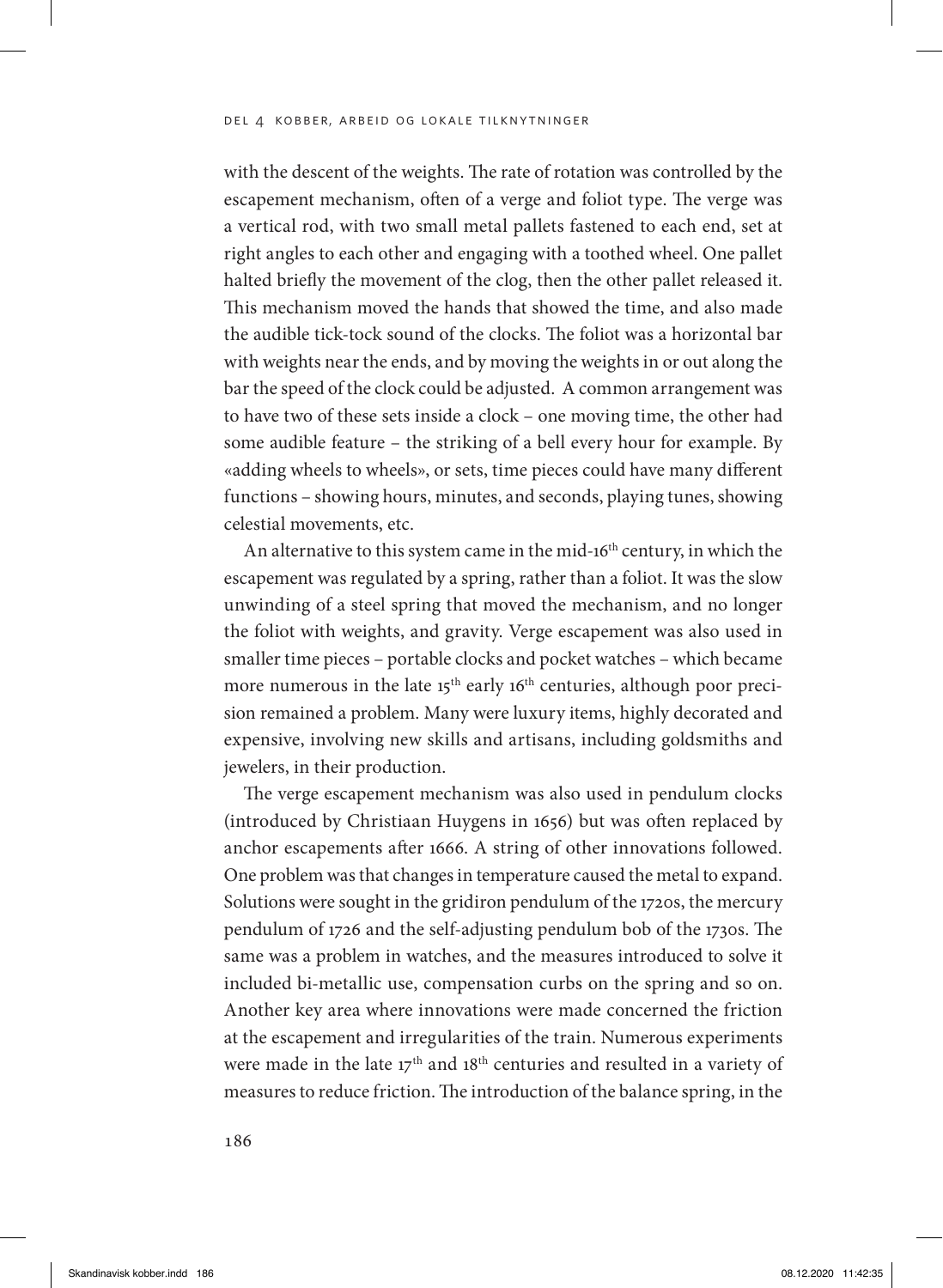#### del 4 kobber, arbeid og lokale tilknytninger

with the descent of the weights. The rate of rotation was controlled by the escapement mechanism, often of a verge and foliot type. The verge was a vertical rod, with two small metal pallets fastened to each end, set at right angles to each other and engaging with a toothed wheel. One pallet halted briefly the movement of the clog, then the other pallet released it. This mechanism moved the hands that showed the time, and also made the audible tick-tock sound of the clocks. The foliot was a horizontal bar with weights near the ends, and by moving the weights in or out along the bar the speed of the clock could be adjusted. A common arrangement was to have two of these sets inside a clock – one moving time, the other had some audible feature – the striking of a bell every hour for example. By «adding wheels to wheels», or sets, time pieces could have many different functions – showing hours, minutes, and seconds, playing tunes, showing celestial movements, etc.

An alternative to this system came in the mid-16<sup>th</sup> century, in which the escapement was regulated by a spring, rather than a foliot. It was the slow unwinding of a steel spring that moved the mechanism, and no longer the foliot with weights, and gravity. Verge escapement was also used in smaller time pieces – portable clocks and pocket watches – which became more numerous in the late  $15<sup>th</sup>$  early  $16<sup>th</sup>$  centuries, although poor precision remained a problem. Many were luxury items, highly decorated and expensive, involving new skills and artisans, including goldsmiths and jewelers, in their production.

The verge escapement mechanism was also used in pendulum clocks (introduced by Christiaan Huygens in 1656) but was often replaced by anchor escapements after 1666. A string of other innovations followed. One problem was that changes in temperature caused the metal to expand. Solutions were sought in the gridiron pendulum of the 1720s, the mercury pendulum of 1726 and the self-adjusting pendulum bob of the 1730s. The same was a problem in watches, and the measures introduced to solve it included bi-metallic use, compensation curbs on the spring and so on. Another key area where innovations were made concerned the friction at the escapement and irregularities of the train. Numerous experiments were made in the late 17<sup>th</sup> and 18<sup>th</sup> centuries and resulted in a variety of measures to reduce friction. The introduction of the balance spring, in the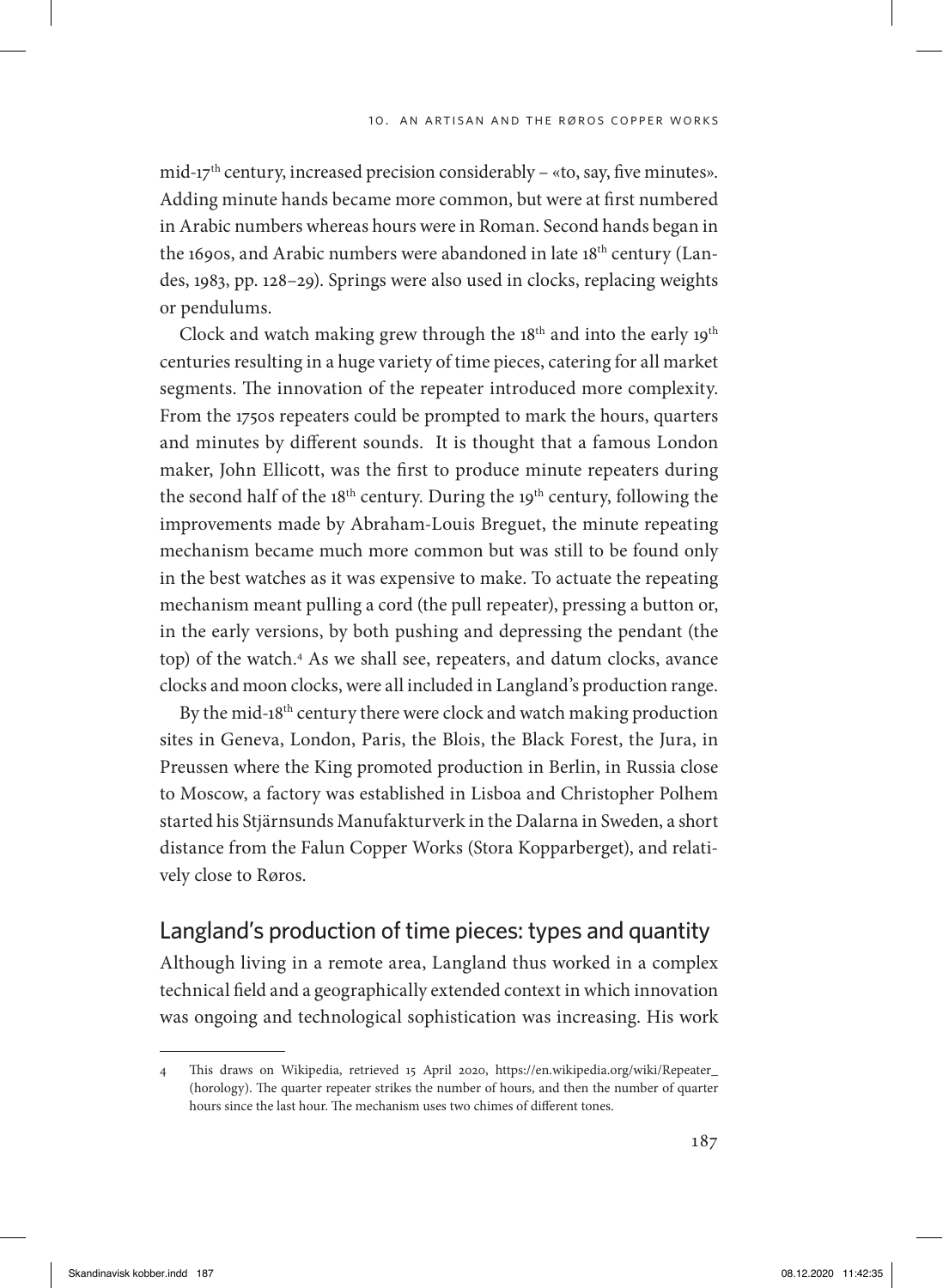mid- $17<sup>th</sup>$  century, increased precision considerably – «to, say, five minutes». Adding minute hands became more common, but were at first numbered in Arabic numbers whereas hours were in Roman. Second hands began in the 1690s, and Arabic numbers were abandoned in late 18<sup>th</sup> century (Landes, 1983, pp. 128–29). Springs were also used in clocks, replacing weights or pendulums.

Clock and watch making grew through the 18<sup>th</sup> and into the early 19<sup>th</sup> centuries resulting in a huge variety of time pieces, catering for all market segments. The innovation of the repeater introduced more complexity. From the 1750s repeaters could be prompted to mark the hours, quarters and minutes by different sounds. It is thought that a famous London maker, John Ellicott, was the first to produce minute repeaters during the second half of the  $18<sup>th</sup>$  century. During the  $19<sup>th</sup>$  century, following the improvements made by Abraham-Louis Breguet, the minute repeating mechanism became much more common but was still to be found only in the best watches as it was expensive to make. To actuate the repeating mechanism meant pulling a cord (the pull repeater), pressing a button or, in the early versions, by both pushing and depressing the pendant (the top) of the watch.4 As we shall see, repeaters, and datum clocks, avance clocks and moon clocks, were all included in Langland's production range.

By the mid-18<sup>th</sup> century there were clock and watch making production sites in Geneva, London, Paris, the Blois, the Black Forest, the Jura, in Preussen where the King promoted production in Berlin, in Russia close to Moscow, a factory was established in Lisboa and Christopher Polhem started his Stjärnsunds Manufakturverk in the Dalarna in Sweden, a short distance from the Falun Copper Works (Stora Kopparberget), and relatively close to Røros.

# Langland's production of time pieces: types and quantity

Although living in a remote area, Langland thus worked in a complex technical field and a geographically extended context in which innovation was ongoing and technological sophistication was increasing. His work

<sup>4</sup> This draws on Wikipedia, retrieved 15 April 2020, https://en.wikipedia.org/wiki/Repeater\_ (horology). The quarter repeater strikes the number of hours, and then the number of quarter hours since the last hour. The mechanism uses two chimes of different tones.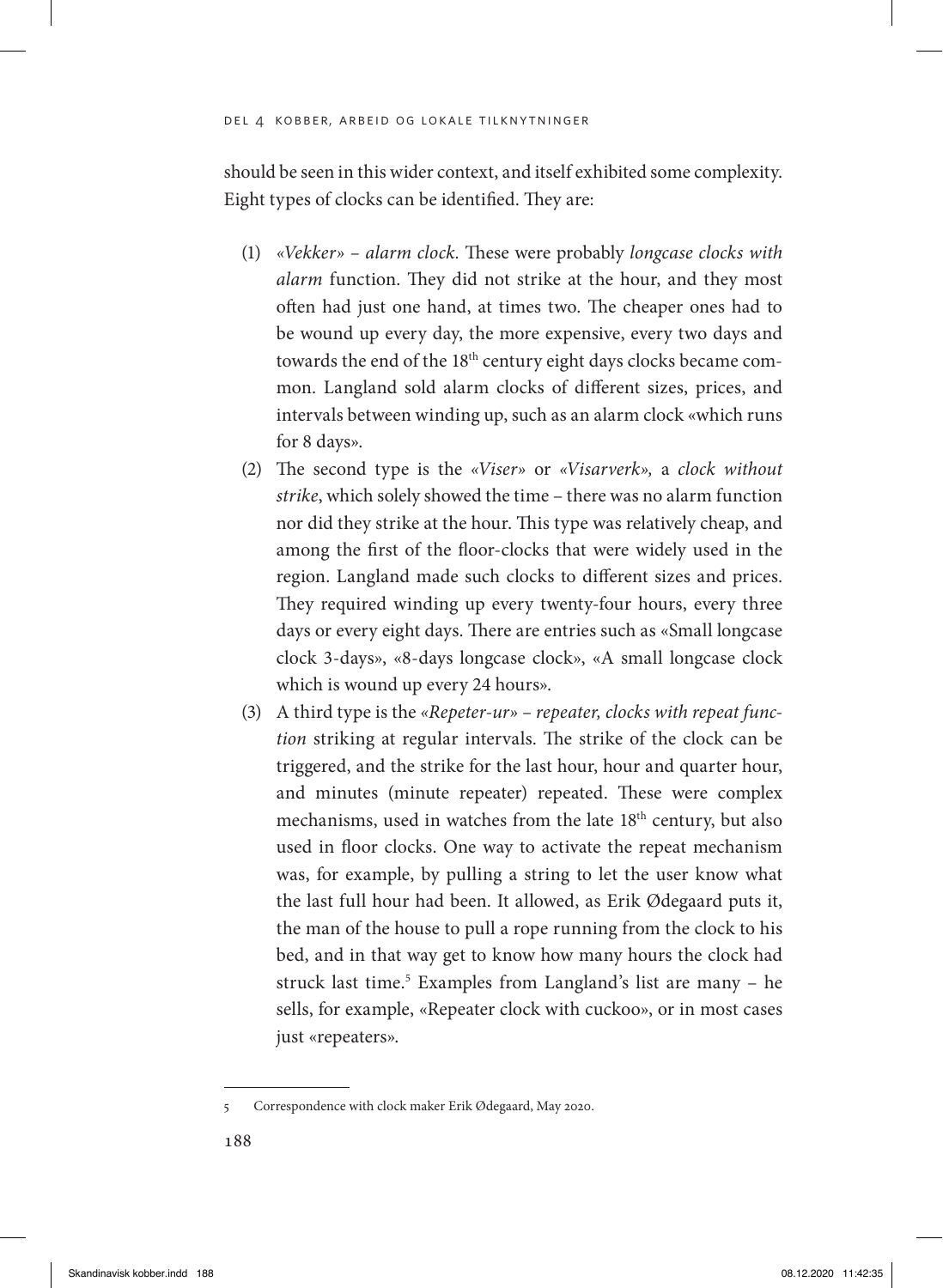#### del 4 kobber, arbeid og lokale tilknytninger

should be seen in this wider context, and itself exhibited some complexity. Eight types of clocks can be identified. They are:

- (1) *«Vekker» alarm clock.* These were probably *longcase clocks with alarm* function. They did not strike at the hour, and they most often had just one hand, at times two. The cheaper ones had to be wound up every day, the more expensive, every two days and towards the end of the 18<sup>th</sup> century eight days clocks became common. Langland sold alarm clocks of different sizes, prices, and intervals between winding up, such as an alarm clock «which runs for 8 days».
- (2) The second type is the *«Viser»* or *«Visarverk»,* a *clock without strike*, which solely showed the time – there was no alarm function nor did they strike at the hour. This type was relatively cheap, and among the first of the floor-clocks that were widely used in the region. Langland made such clocks to different sizes and prices. They required winding up every twenty-four hours, every three days or every eight days. There are entries such as «Small longcase clock 3-days», «8-days longcase clock», «A small longcase clock which is wound up every 24 hours».
- (3) A third type is the *«Repeter-ur» repeater, clocks with repeat function* striking at regular intervals. The strike of the clock can be triggered, and the strike for the last hour, hour and quarter hour, and minutes (minute repeater) repeated. These were complex mechanisms, used in watches from the late 18<sup>th</sup> century, but also used in floor clocks. One way to activate the repeat mechanism was, for example, by pulling a string to let the user know what the last full hour had been. It allowed, as Erik Ødegaard puts it, the man of the house to pull a rope running from the clock to his bed, and in that way get to know how many hours the clock had struck last time.<sup>5</sup> Examples from Langland's list are many - he sells, for example, «Repeater clock with cuckoo», or in most cases just «repeaters».

<sup>5</sup> Correspondence with clock maker Erik Ødegaard, May 2020.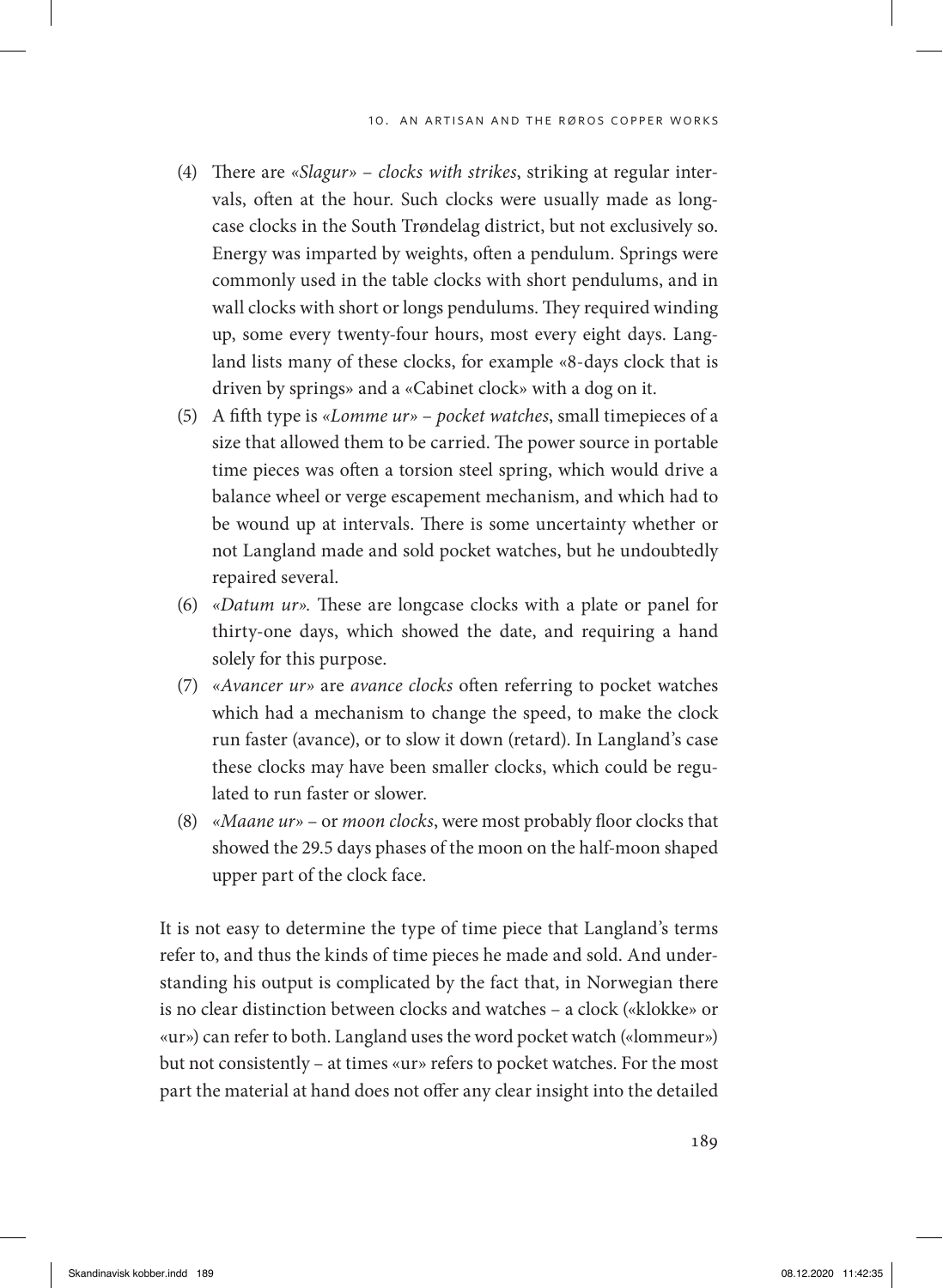- (4) There are *«Slagur» clocks with strikes*, striking at regular intervals, often at the hour. Such clocks were usually made as longcase clocks in the South Trøndelag district, but not exclusively so. Energy was imparted by weights, often a pendulum. Springs were commonly used in the table clocks with short pendulums, and in wall clocks with short or longs pendulums. They required winding up, some every twenty-four hours, most every eight days. Langland lists many of these clocks, for example «8-days clock that is driven by springs» and a «Cabinet clock» with a dog on it.
- (5) A fifth type is *«Lomme ur» pocket watches*, small timepieces of a size that allowed them to be carried. The power source in portable time pieces was often a torsion steel spring, which would drive a balance wheel or verge escapement mechanism, and which had to be wound up at intervals. There is some uncertainty whether or not Langland made and sold pocket watches, but he undoubtedly repaired several.
- (6) *«Datum ur».* These are longcase clocks with a plate or panel for thirty-one days, which showed the date, and requiring a hand solely for this purpose.
- (7) *«Avancer ur»* are *avance clocks* often referring to pocket watches which had a mechanism to change the speed, to make the clock run faster (avance), or to slow it down (retard). In Langland's case these clocks may have been smaller clocks, which could be regulated to run faster or slower.
- (8) *«Maane ur»* or *moon clocks*, were most probably floor clocks that showed the 29.5 days phases of the moon on the half-moon shaped upper part of the clock face.

It is not easy to determine the type of time piece that Langland's terms refer to, and thus the kinds of time pieces he made and sold. And understanding his output is complicated by the fact that, in Norwegian there is no clear distinction between clocks and watches – a clock («klokke» or «ur») can refer to both. Langland uses the word pocket watch («lommeur») but not consistently – at times «ur» refers to pocket watches. For the most part the material at hand does not offer any clear insight into the detailed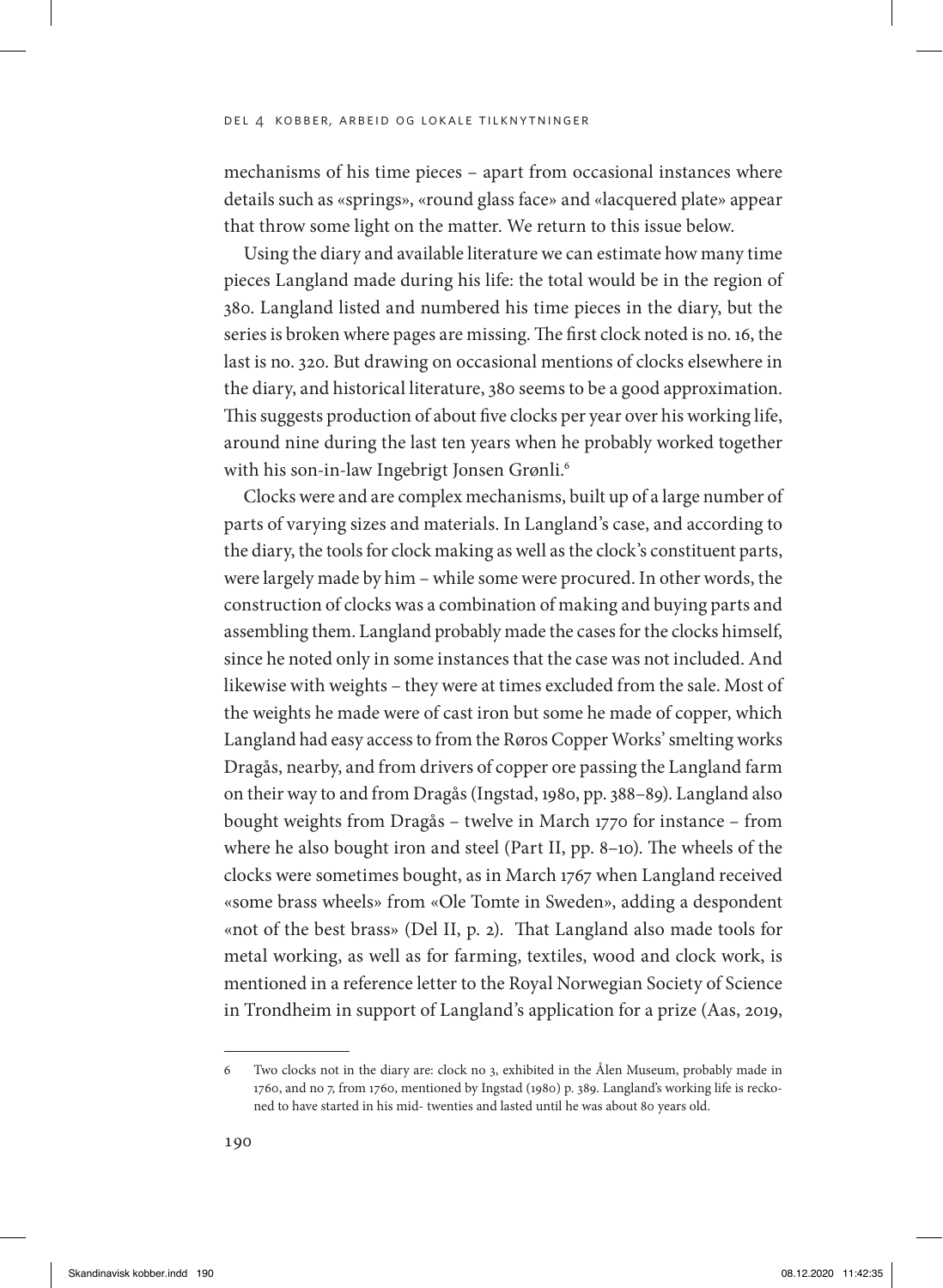mechanisms of his time pieces – apart from occasional instances where details such as «springs», «round glass face» and «lacquered plate» appear that throw some light on the matter. We return to this issue below.

Using the diary and available literature we can estimate how many time pieces Langland made during his life: the total would be in the region of 380. Langland listed and numbered his time pieces in the diary, but the series is broken where pages are missing. The first clock noted is no. 16, the last is no. 320. But drawing on occasional mentions of clocks elsewhere in the diary, and historical literature, 380 seems to be a good approximation. This suggests production of about five clocks per year over his working life, around nine during the last ten years when he probably worked together with his son-in-law Ingebrigt Jonsen Grønli.<sup>6</sup>

Clocks were and are complex mechanisms, built up of a large number of parts of varying sizes and materials. In Langland's case, and according to the diary, the tools for clock making as well as the clock's constituent parts, were largely made by him – while some were procured. In other words, the construction of clocks was a combination of making and buying parts and assembling them. Langland probably made the cases for the clocks himself, since he noted only in some instances that the case was not included. And likewise with weights – they were at times excluded from the sale. Most of the weights he made were of cast iron but some he made of copper, which Langland had easy access to from the Røros Copper Works' smelting works Dragås, nearby, and from drivers of copper ore passing the Langland farm on their way to and from Dragås (Ingstad, 1980, pp. 388–89). Langland also bought weights from Dragås – twelve in March 1770 for instance – from where he also bought iron and steel (Part II, pp. 8–10). The wheels of the clocks were sometimes bought, as in March 1767 when Langland received «some brass wheels» from «Ole Tomte in Sweden», adding a despondent «not of the best brass» (Del II, p. 2). That Langland also made tools for metal working, as well as for farming, textiles, wood and clock work, is mentioned in a reference letter to the Royal Norwegian Society of Science in Trondheim in support of Langland's application for a prize (Aas, 2019,

<sup>6</sup> Two clocks not in the diary are: clock no 3, exhibited in the Ålen Museum, probably made in 1760, and no 7, from 1760, mentioned by Ingstad (1980) p. 389. Langland's working life is reckoned to have started in his mid- twenties and lasted until he was about 80 years old.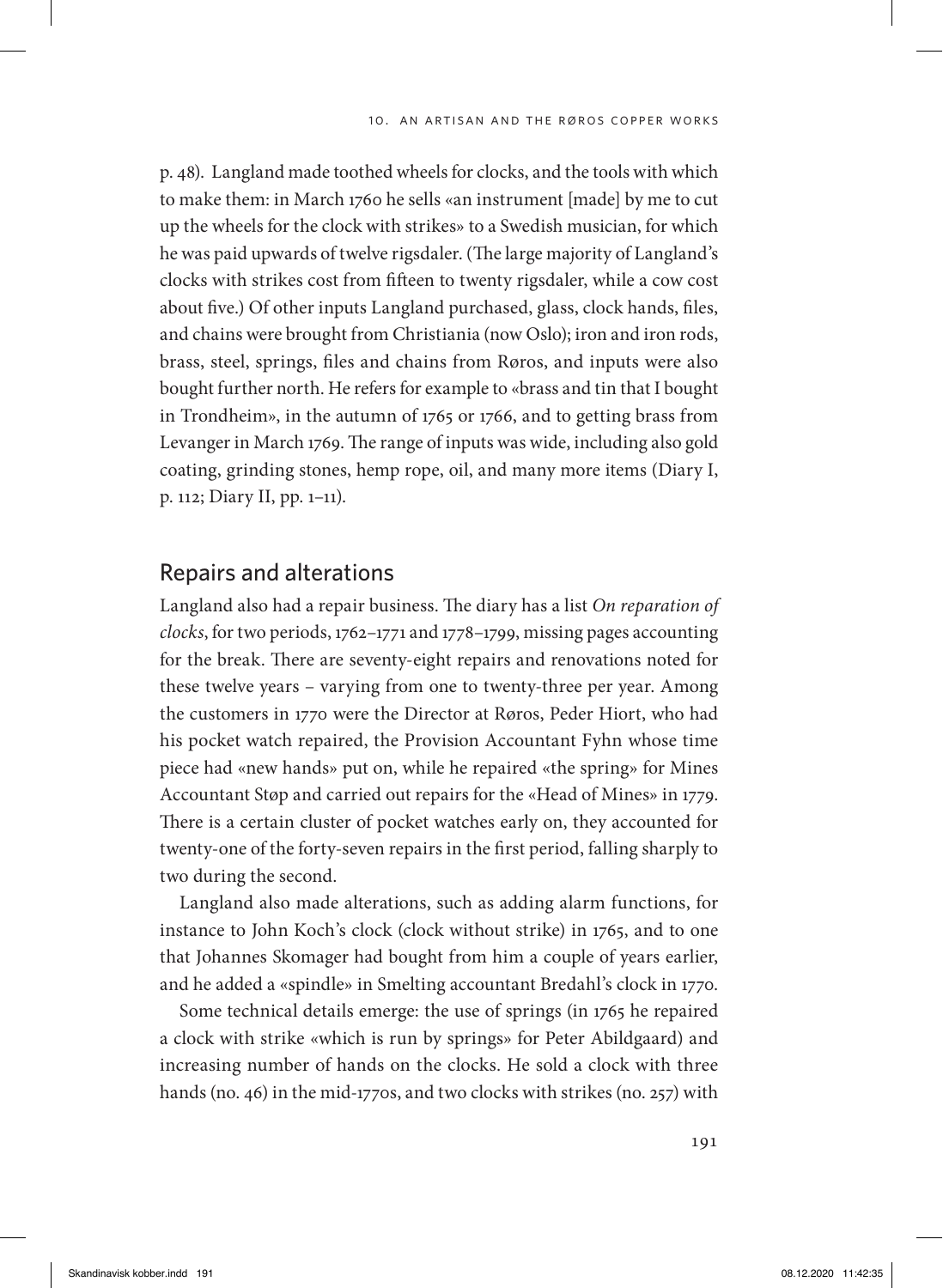p. 48). Langland made toothed wheels for clocks, and the tools with which to make them: in March 1760 he sells «an instrument [made] by me to cut up the wheels for the clock with strikes» to a Swedish musician, for which he was paid upwards of twelve rigsdaler. (The large majority of Langland's clocks with strikes cost from fifteen to twenty rigsdaler, while a cow cost about five.) Of other inputs Langland purchased, glass, clock hands, files, and chains were brought from Christiania (now Oslo); iron and iron rods, brass, steel, springs, files and chains from Røros, and inputs were also bought further north. He refers for example to «brass and tin that I bought in Trondheim», in the autumn of 1765 or 1766, and to getting brass from Levanger in March 1769. The range of inputs was wide, including also gold coating, grinding stones, hemp rope, oil, and many more items (Diary I, p. 112; Diary II, pp. 1–11).

## Repairs and alterations

Langland also had a repair business. The diary has a list *On reparation of clocks*, for two periods, 1762–1771 and 1778–1799, missing pages accounting for the break. There are seventy-eight repairs and renovations noted for these twelve years – varying from one to twenty-three per year. Among the customers in 1770 were the Director at Røros, Peder Hiort, who had his pocket watch repaired, the Provision Accountant Fyhn whose time piece had «new hands» put on, while he repaired «the spring» for Mines Accountant Støp and carried out repairs for the «Head of Mines» in 1779. There is a certain cluster of pocket watches early on, they accounted for twenty-one of the forty-seven repairs in the first period, falling sharply to two during the second.

Langland also made alterations, such as adding alarm functions, for instance to John Koch's clock (clock without strike) in 1765, and to one that Johannes Skomager had bought from him a couple of years earlier, and he added a «spindle» in Smelting accountant Bredahl's clock in 1770.

Some technical details emerge: the use of springs (in 1765 he repaired a clock with strike «which is run by springs» for Peter Abildgaard) and increasing number of hands on the clocks. He sold a clock with three hands (no. 46) in the mid-1770s, and two clocks with strikes (no. 257) with

191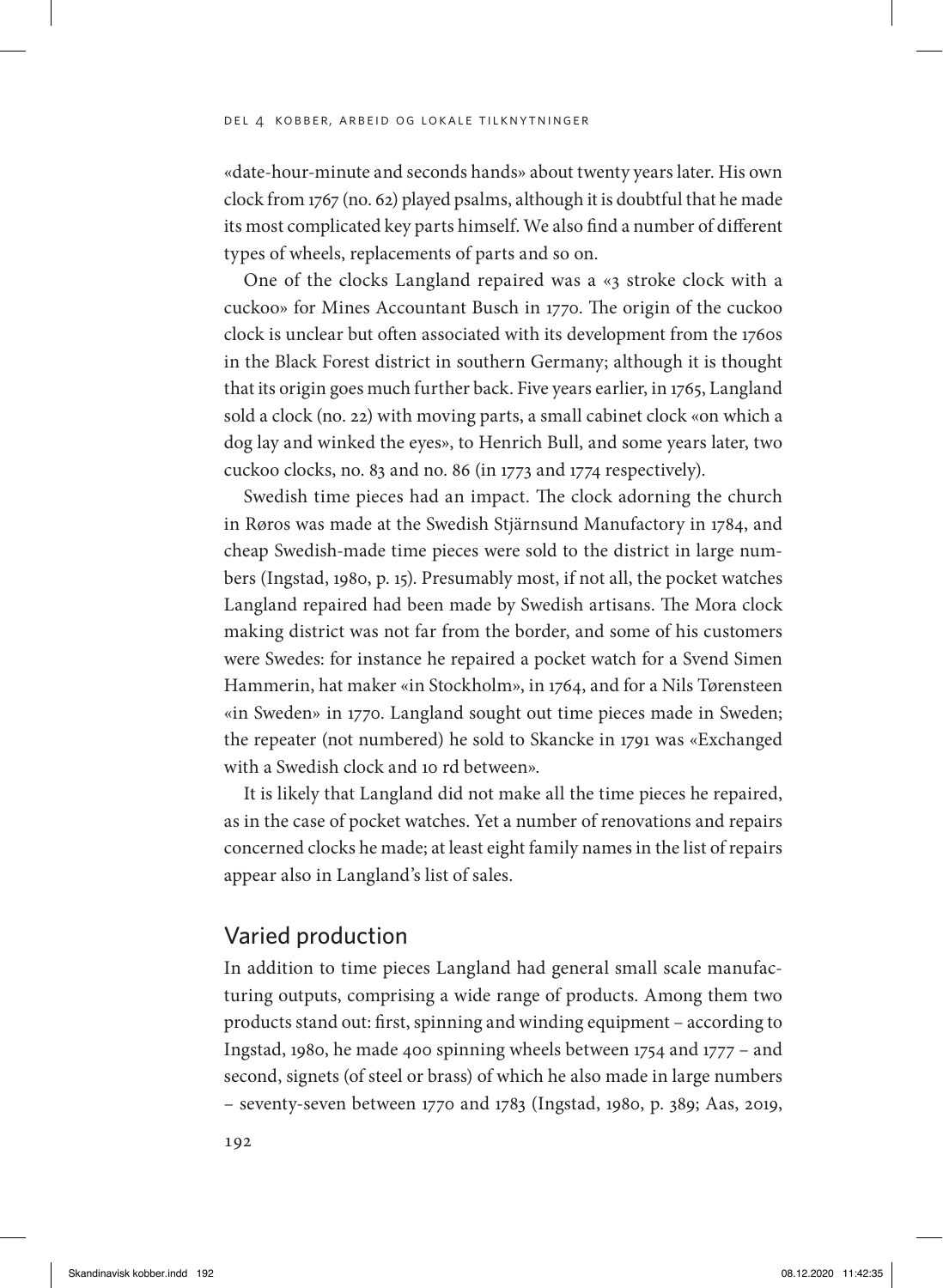«date-hour-minute and seconds hands» about twenty years later. His own clock from 1767 (no. 62) played psalms, although it is doubtful that he made its most complicated key parts himself. We also find a number of different types of wheels, replacements of parts and so on.

One of the clocks Langland repaired was a «3 stroke clock with a cuckoo» for Mines Accountant Busch in 1770. The origin of the cuckoo clock is unclear but often associated with its development from the 1760s in the Black Forest district in southern Germany; although it is thought that its origin goes much further back. Five years earlier, in 1765, Langland sold a clock (no. 22) with moving parts, a small cabinet clock «on which a dog lay and winked the eyes», to Henrich Bull, and some years later, two cuckoo clocks, no. 83 and no. 86 (in 1773 and 1774 respectively).

Swedish time pieces had an impact. The clock adorning the church in Røros was made at the Swedish Stjärnsund Manufactory in 1784, and cheap Swedish-made time pieces were sold to the district in large numbers (Ingstad, 1980, p. 15). Presumably most, if not all, the pocket watches Langland repaired had been made by Swedish artisans. The Mora clock making district was not far from the border, and some of his customers were Swedes: for instance he repaired a pocket watch for a Svend Simen Hammerin, hat maker «in Stockholm», in 1764, and for a Nils Tørensteen «in Sweden» in 1770. Langland sought out time pieces made in Sweden; the repeater (not numbered) he sold to Skancke in 1791 was «Exchanged with a Swedish clock and 10 rd between».

It is likely that Langland did not make all the time pieces he repaired, as in the case of pocket watches. Yet a number of renovations and repairs concerned clocks he made; at least eight family names in the list of repairs appear also in Langland's list of sales.

## Varied production

In addition to time pieces Langland had general small scale manufacturing outputs, comprising a wide range of products. Among them two products stand out: first, spinning and winding equipment – according to Ingstad, 1980, he made 400 spinning wheels between 1754 and 1777 – and second, signets (of steel or brass) of which he also made in large numbers – seventy-seven between 1770 and 1783 (Ingstad, 1980, p. 389; Aas, 2019,

192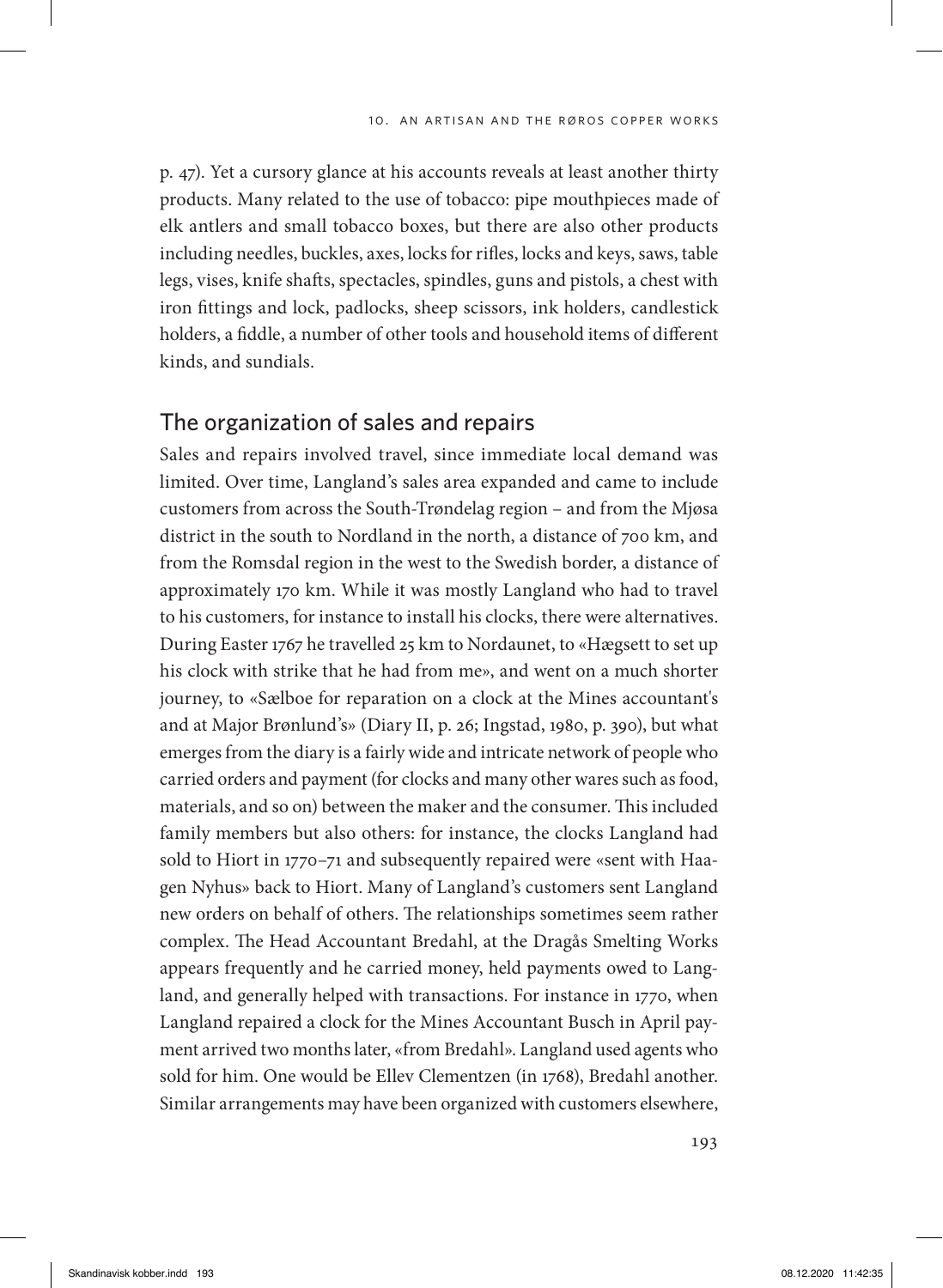p. 47). Yet a cursory glance at his accounts reveals at least another thirty products. Many related to the use of tobacco: pipe mouthpieces made of elk antlers and small tobacco boxes, but there are also other products including needles, buckles, axes, locks for rifles, locks and keys, saws, table legs, vises, knife shafts, spectacles, spindles, guns and pistols, a chest with iron fittings and lock, padlocks, sheep scissors, ink holders, candlestick holders, a fiddle, a number of other tools and household items of different kinds, and sundials.

## The organization of sales and repairs

Sales and repairs involved travel, since immediate local demand was limited. Over time, Langland's sales area expanded and came to include customers from across the South-Trøndelag region – and from the Mjøsa district in the south to Nordland in the north, a distance of 700 km, and from the Romsdal region in the west to the Swedish border, a distance of approximately 170 km. While it was mostly Langland who had to travel to his customers, for instance to install his clocks, there were alternatives. During Easter 1767 he travelled 25 km to Nordaunet, to «Hægsett to set up his clock with strike that he had from me», and went on a much shorter journey, to «Sælboe for reparation on a clock at the Mines accountant's and at Major Brønlund's» (Diary II, p. 26; Ingstad, 1980, p. 390), but what emerges from the diary is a fairly wide and intricate network of people who carried orders and payment (for clocks and many other wares such as food, materials, and so on) between the maker and the consumer. This included family members but also others: for instance, the clocks Langland had sold to Hiort in 1770–71 and subsequently repaired were «sent with Haagen Nyhus» back to Hiort. Many of Langland's customers sent Langland new orders on behalf of others. The relationships sometimes seem rather complex. The Head Accountant Bredahl, at the Dragås Smelting Works appears frequently and he carried money, held payments owed to Langland, and generally helped with transactions. For instance in 1770, when Langland repaired a clock for the Mines Accountant Busch in April payment arrived two months later, «from Bredahl». Langland used agents who sold for him. One would be Ellev Clementzen (in 1768), Bredahl another. Similar arrangements may have been organized with customers elsewhere,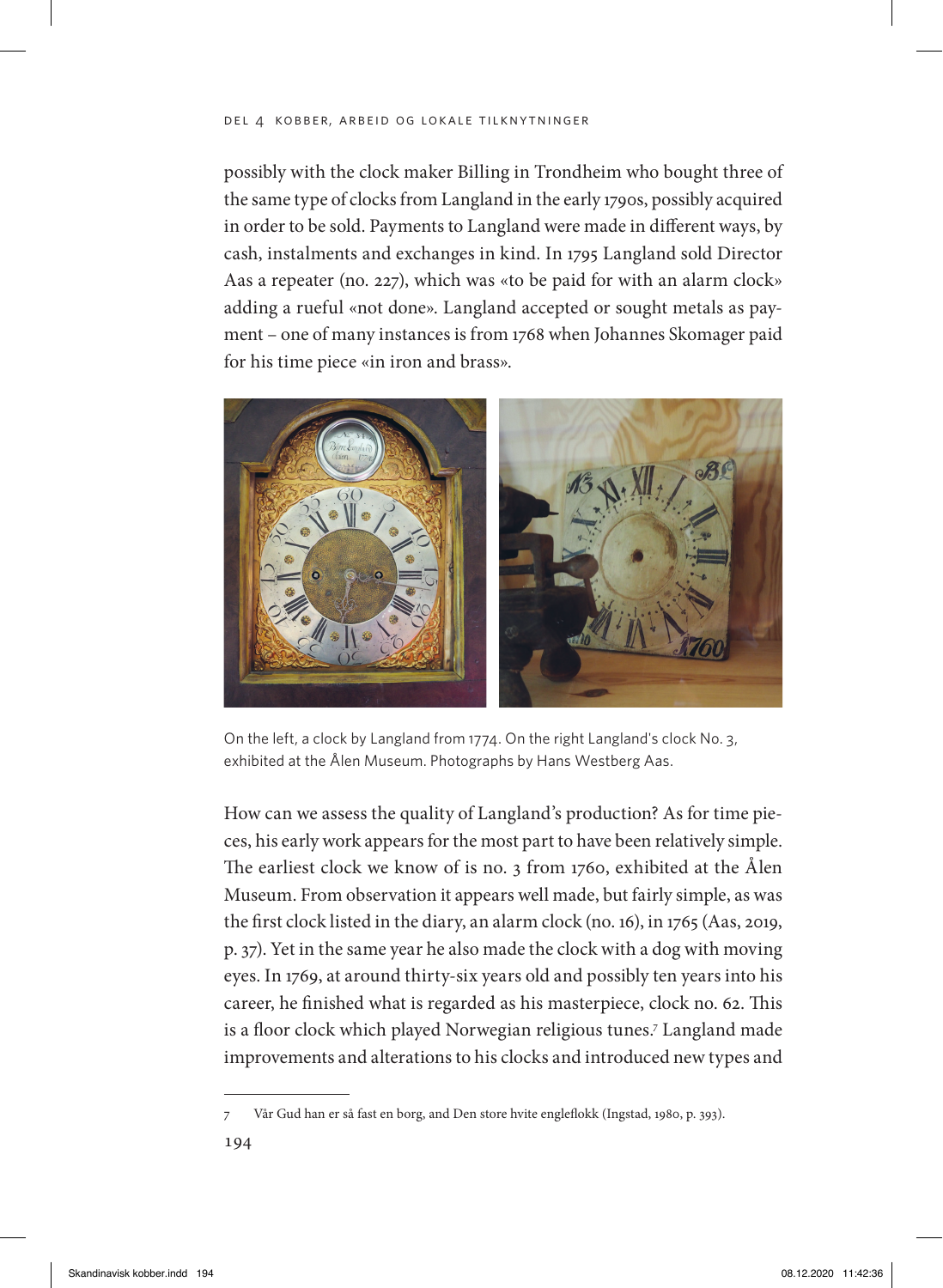#### del 4 kobber, arbeid og lokale tilknytninger

possibly with the clock maker Billing in Trondheim who bought three of the same type of clocks from Langland in the early 1790s, possibly acquired in order to be sold. Payments to Langland were made in different ways, by cash, instalments and exchanges in kind. In 1795 Langland sold Director Aas a repeater (no. 227), which was «to be paid for with an alarm clock» adding a rueful «not done». Langland accepted or sought metals as payment – one of many instances is from 1768 when Johannes Skomager paid for his time piece «in iron and brass».



On the left, a clock by Langland from 1774. On the right Langland's clock No. 3, exhibited at the Ålen Museum. Photographs by Hans Westberg Aas.

How can we assess the quality of Langland's production? As for time pieces, his early work appears for the most part to have been relatively simple. The earliest clock we know of is no. 3 from 1760, exhibited at the Ålen Museum. From observation it appears well made, but fairly simple, as was the first clock listed in the diary, an alarm clock (no. 16), in 1765 (Aas, 2019, p. 37). Yet in the same year he also made the clock with a dog with moving eyes. In 1769, at around thirty-six years old and possibly ten years into his career, he finished what is regarded as his masterpiece, clock no. 62. This is a floor clock which played Norwegian religious tunes.<sup>7</sup> Langland made improvements and alterations to his clocks and introduced new types and

<sup>7</sup> Vår Gud han er så fast en borg, and Den store hvite engleflokk (Ingstad, 1980, p. 393).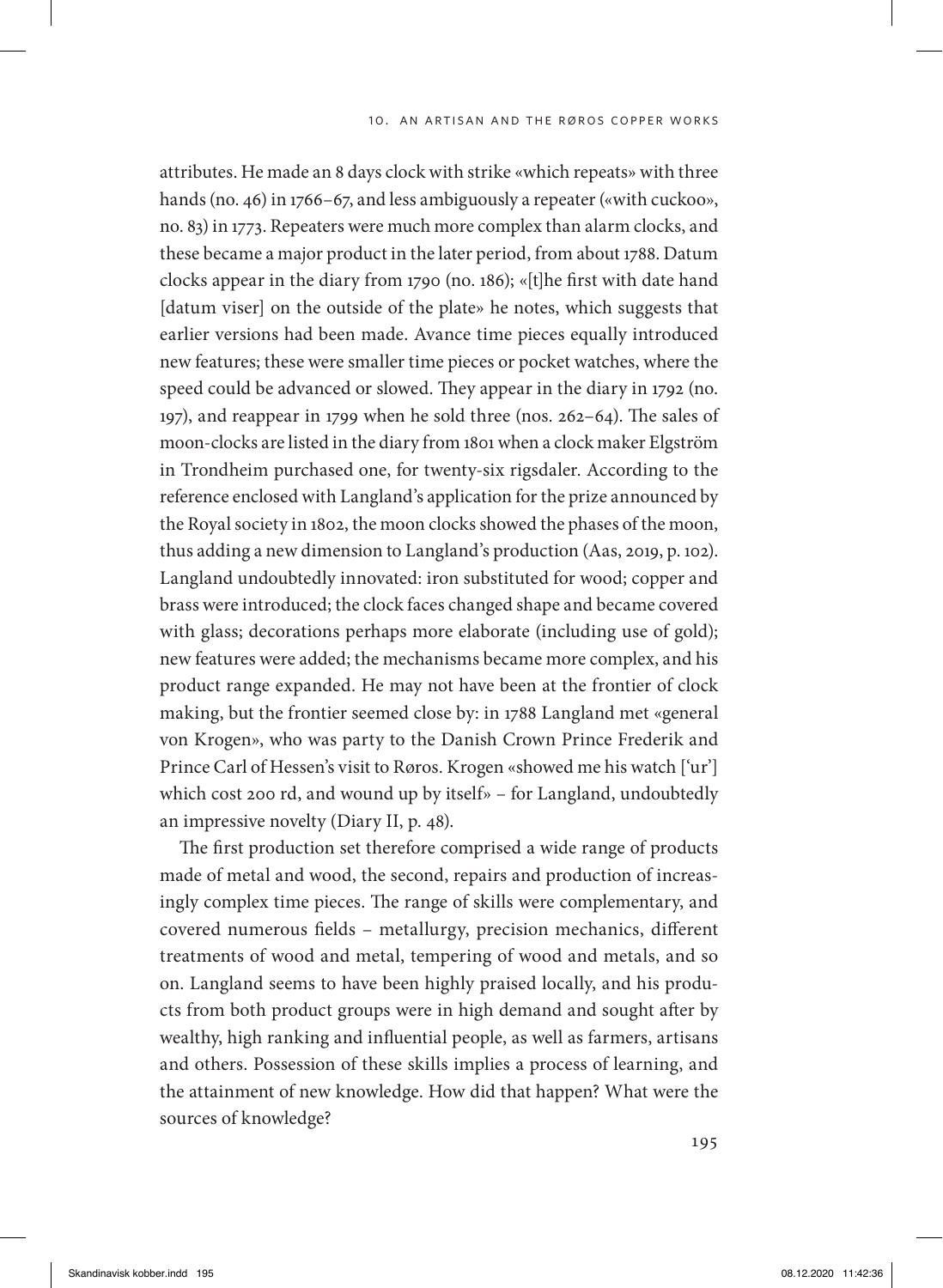attributes. He made an 8 days clock with strike «which repeats» with three hands (no. 46) in 1766–67, and less ambiguously a repeater («with cuckoo», no. 83) in 1773. Repeaters were much more complex than alarm clocks, and these became a major product in the later period, from about 1788. Datum clocks appear in the diary from 1790 (no. 186); «[t]he first with date hand [datum viser] on the outside of the plate» he notes, which suggests that earlier versions had been made. Avance time pieces equally introduced new features; these were smaller time pieces or pocket watches, where the speed could be advanced or slowed. They appear in the diary in 1792 (no. 197), and reappear in 1799 when he sold three (nos. 262–64). The sales of moon-clocks are listed in the diary from 1801 when a clock maker Elgström in Trondheim purchased one, for twenty-six rigsdaler. According to the reference enclosed with Langland's application for the prize announced by the Royal society in 1802, the moon clocks showed the phases of the moon, thus adding a new dimension to Langland's production (Aas, 2019, p. 102). Langland undoubtedly innovated: iron substituted for wood; copper and brass were introduced; the clock faces changed shape and became covered with glass; decorations perhaps more elaborate (including use of gold); new features were added; the mechanisms became more complex, and his product range expanded. He may not have been at the frontier of clock making, but the frontier seemed close by: in 1788 Langland met «general von Krogen», who was party to the Danish Crown Prince Frederik and Prince Carl of Hessen's visit to Røros. Krogen «showed me his watch ['ur'] which cost 200 rd, and wound up by itself» – for Langland, undoubtedly an impressive novelty (Diary II, p. 48).

The first production set therefore comprised a wide range of products made of metal and wood, the second, repairs and production of increasingly complex time pieces. The range of skills were complementary, and covered numerous fields – metallurgy, precision mechanics, different treatments of wood and metal, tempering of wood and metals, and so on. Langland seems to have been highly praised locally, and his products from both product groups were in high demand and sought after by wealthy, high ranking and influential people, as well as farmers, artisans and others. Possession of these skills implies a process of learning, and the attainment of new knowledge. How did that happen? What were the sources of knowledge?

195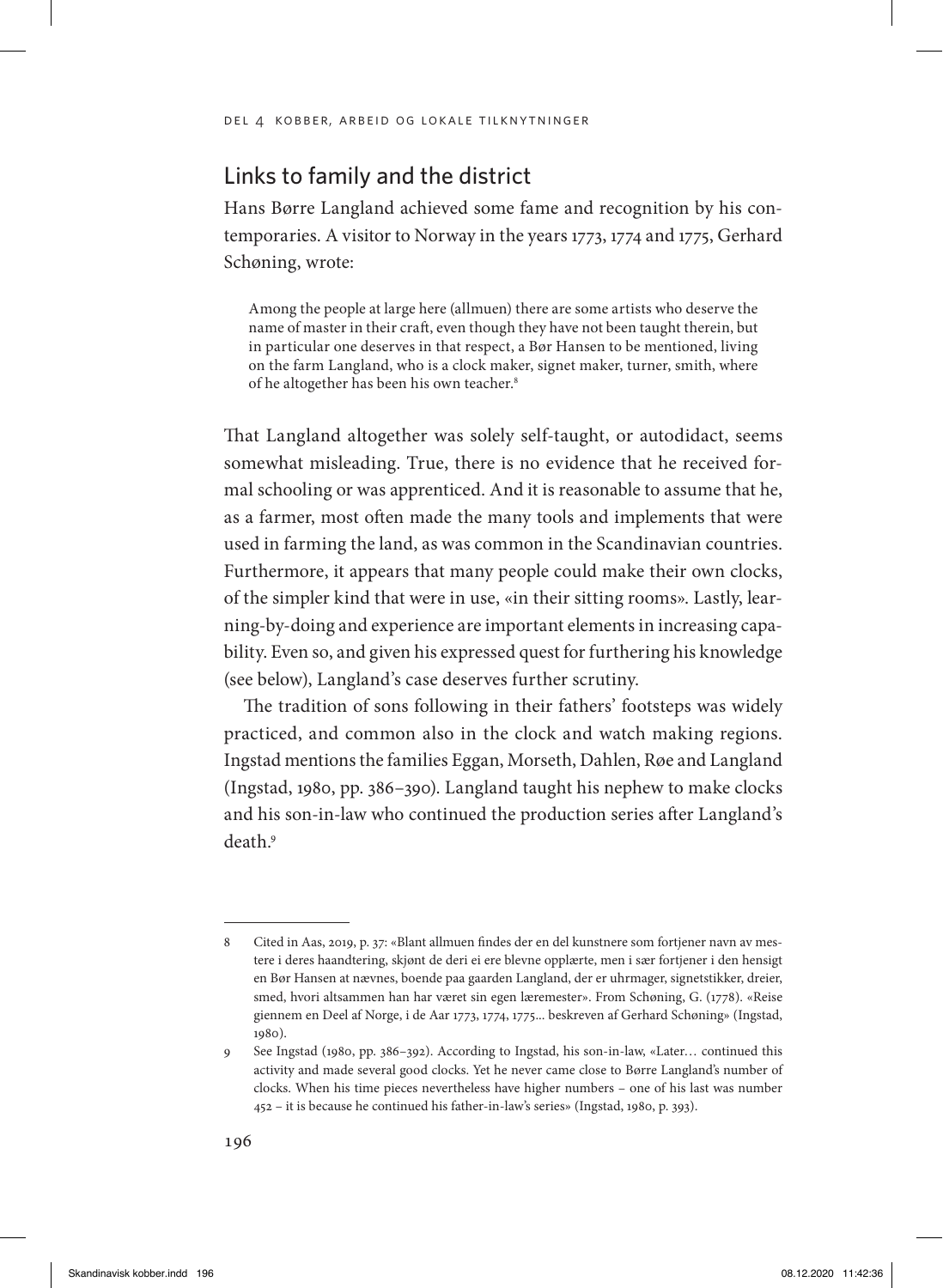# Links to family and the district

Hans Børre Langland achieved some fame and recognition by his contemporaries. A visitor to Norway in the years 1773, 1774 and 1775, Gerhard Schøning, wrote:

Among the people at large here (allmuen) there are some artists who deserve the name of master in their craft, even though they have not been taught therein, but in particular one deserves in that respect, a Bør Hansen to be mentioned, living on the farm Langland, who is a clock maker, signet maker, turner, smith, where of he altogether has been his own teacher.<sup>8</sup>

That Langland altogether was solely self-taught, or autodidact, seems somewhat misleading. True, there is no evidence that he received formal schooling or was apprenticed. And it is reasonable to assume that he, as a farmer, most often made the many tools and implements that were used in farming the land, as was common in the Scandinavian countries. Furthermore, it appears that many people could make their own clocks, of the simpler kind that were in use, «in their sitting rooms». Lastly, learning-by-doing and experience are important elements in increasing capability. Even so, and given his expressed quest for furthering his knowledge (see below), Langland's case deserves further scrutiny.

The tradition of sons following in their fathers' footsteps was widely practiced, and common also in the clock and watch making regions. Ingstad mentions the families Eggan, Morseth, Dahlen, Røe and Langland (Ingstad, 1980, pp. 386–390). Langland taught his nephew to make clocks and his son-in-law who continued the production series after Langland's death.9

<sup>8</sup> Cited in Aas, 2019, p. 37: «Blant allmuen findes der en del kunstnere som fortjener navn av mestere i deres haandtering, skjønt de deri ei ere blevne opplærte, men i sær fortjener i den hensigt en Bør Hansen at nævnes, boende paa gaarden Langland, der er uhrmager, signetstikker, dreier, smed, hvori altsammen han har været sin egen læremester». From Schøning, G. (1778). «Reise giennem en Deel af Norge, i de Aar 1773, 1774, 1775... beskreven af Gerhard Schøning» (Ingstad, 1980).

<sup>9</sup> See Ingstad (1980, pp. 386–392). According to Ingstad, his son-in-law, «Later… continued this activity and made several good clocks. Yet he never came close to Børre Langland's number of clocks. When his time pieces nevertheless have higher numbers – one of his last was number 452 – it is because he continued his father-in-law's series» (Ingstad, 1980, p. 393).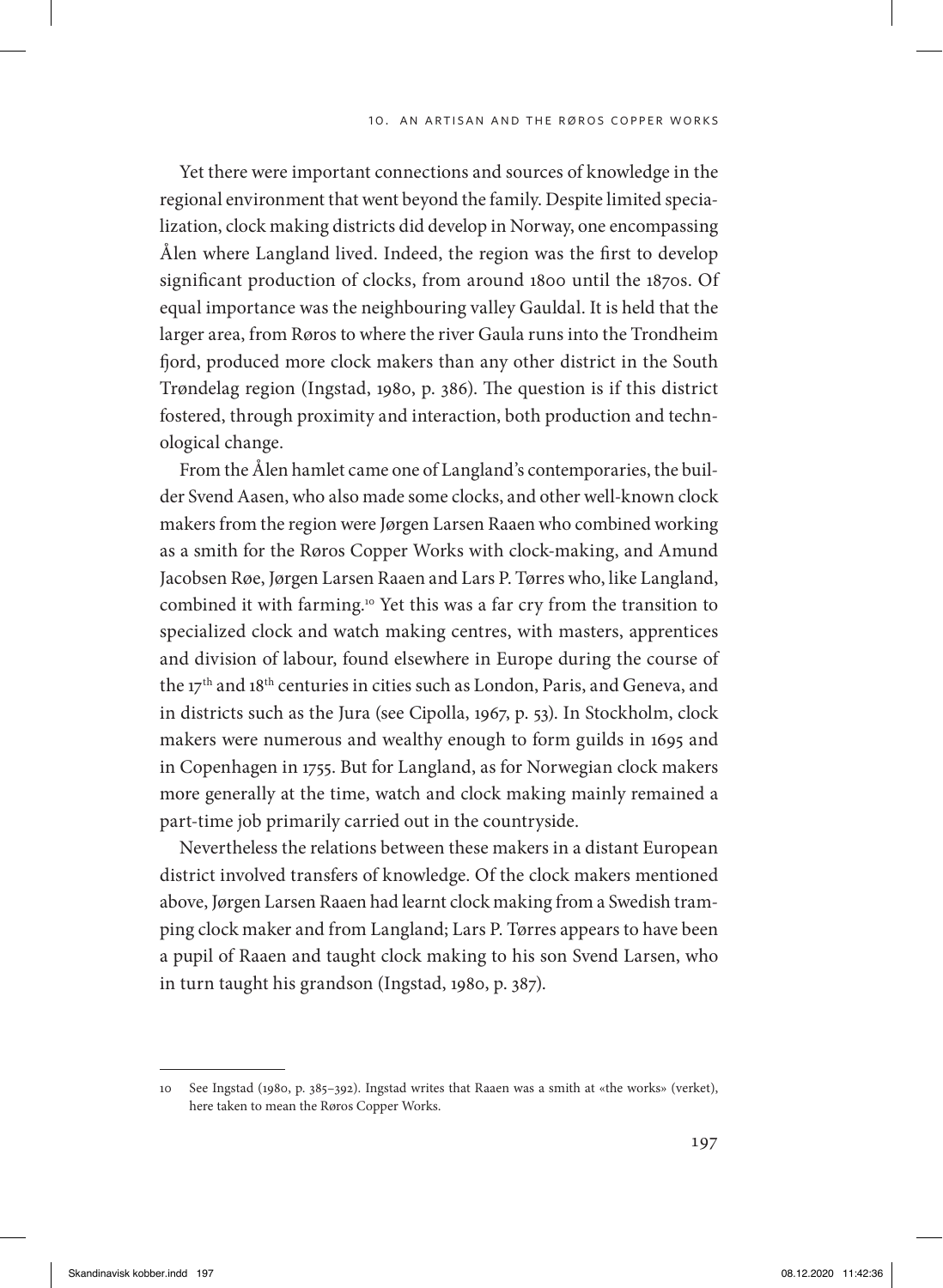Yet there were important connections and sources of knowledge in the regional environment that went beyond the family. Despite limited specialization, clock making districts did develop in Norway, one encompassing Ålen where Langland lived. Indeed, the region was the first to develop significant production of clocks, from around 1800 until the 1870s. Of equal importance was the neighbouring valley Gauldal. It is held that the larger area, from Røros to where the river Gaula runs into the Trondheim fjord, produced more clock makers than any other district in the South Trøndelag region (Ingstad, 1980, p. 386). The question is if this district fostered, through proximity and interaction, both production and technological change.

From the Ålen hamlet came one of Langland's contemporaries, the builder Svend Aasen, who also made some clocks, and other well-known clock makers from the region were Jørgen Larsen Raaen who combined working as a smith for the Røros Copper Works with clock-making, and Amund Jacobsen Røe, Jørgen Larsen Raaen and Lars P. Tørres who, like Langland, combined it with farming.10 Yet this was a far cry from the transition to specialized clock and watch making centres, with masters, apprentices and division of labour, found elsewhere in Europe during the course of the 17th and 18th centuries in cities such as London, Paris, and Geneva, and in districts such as the Jura (see Cipolla, 1967, p. 53). In Stockholm, clock makers were numerous and wealthy enough to form guilds in 1695 and in Copenhagen in 1755. But for Langland, as for Norwegian clock makers more generally at the time, watch and clock making mainly remained a part-time job primarily carried out in the countryside.

Nevertheless the relations between these makers in a distant European district involved transfers of knowledge. Of the clock makers mentioned above, Jørgen Larsen Raaen had learnt clock making from a Swedish tramping clock maker and from Langland; Lars P. Tørres appears to have been a pupil of Raaen and taught clock making to his son Svend Larsen, who in turn taught his grandson (Ingstad, 1980, p. 387).

<sup>10</sup> See Ingstad (1980, p. 385–392). Ingstad writes that Raaen was a smith at «the works» (verket), here taken to mean the Røros Copper Works.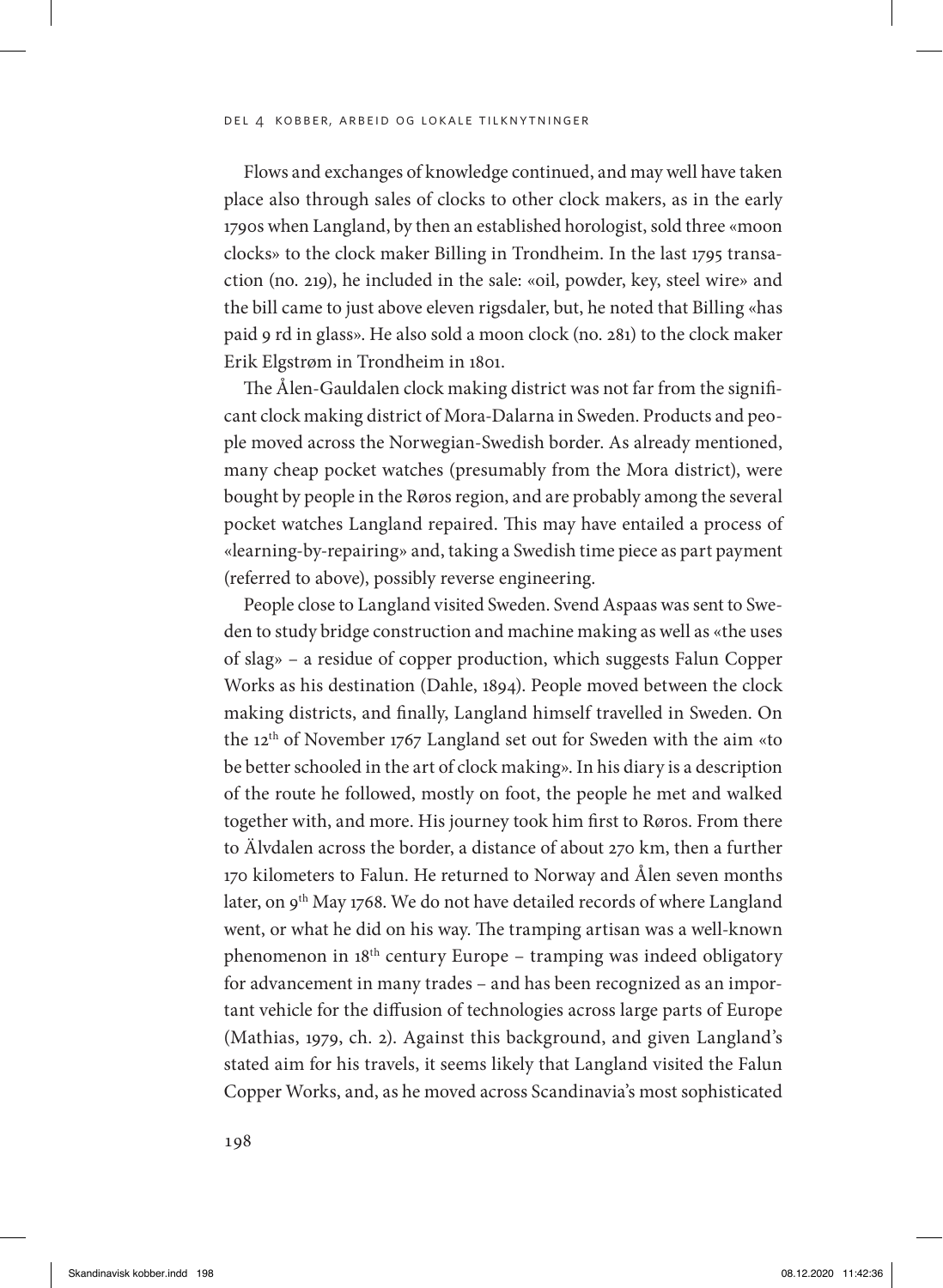Flows and exchanges of knowledge continued, and may well have taken place also through sales of clocks to other clock makers, as in the early 1790s when Langland, by then an established horologist, sold three «moon clocks» to the clock maker Billing in Trondheim. In the last 1795 transaction (no. 219), he included in the sale: «oil, powder, key, steel wire» and the bill came to just above eleven rigsdaler, but, he noted that Billing «has paid 9 rd in glass». He also sold a moon clock (no. 281) to the clock maker Erik Elgstrøm in Trondheim in 1801.

The Ålen-Gauldalen clock making district was not far from the significant clock making district of Mora-Dalarna in Sweden. Products and people moved across the Norwegian-Swedish border. As already mentioned, many cheap pocket watches (presumably from the Mora district), were bought by people in the Røros region, and are probably among the several pocket watches Langland repaired. This may have entailed a process of «learning-by-repairing» and, taking a Swedish time piece as part payment (referred to above), possibly reverse engineering.

People close to Langland visited Sweden. Svend Aspaas was sent to Sweden to study bridge construction and machine making as well as «the uses of slag» – a residue of copper production, which suggests Falun Copper Works as his destination (Dahle, 1894). People moved between the clock making districts, and finally, Langland himself travelled in Sweden. On the 12th of November 1767 Langland set out for Sweden with the aim «to be better schooled in the art of clock making». In his diary is a description of the route he followed, mostly on foot, the people he met and walked together with, and more. His journey took him first to Røros. From there to Älvdalen across the border, a distance of about 270 km, then a further 170 kilometers to Falun. He returned to Norway and Ålen seven months later, on 9<sup>th</sup> May 1768. We do not have detailed records of where Langland went, or what he did on his way. The tramping artisan was a well-known phenomenon in 18th century Europe – tramping was indeed obligatory for advancement in many trades – and has been recognized as an important vehicle for the diffusion of technologies across large parts of Europe (Mathias, 1979, ch. 2). Against this background, and given Langland's stated aim for his travels, it seems likely that Langland visited the Falun Copper Works, and, as he moved across Scandinavia's most sophisticated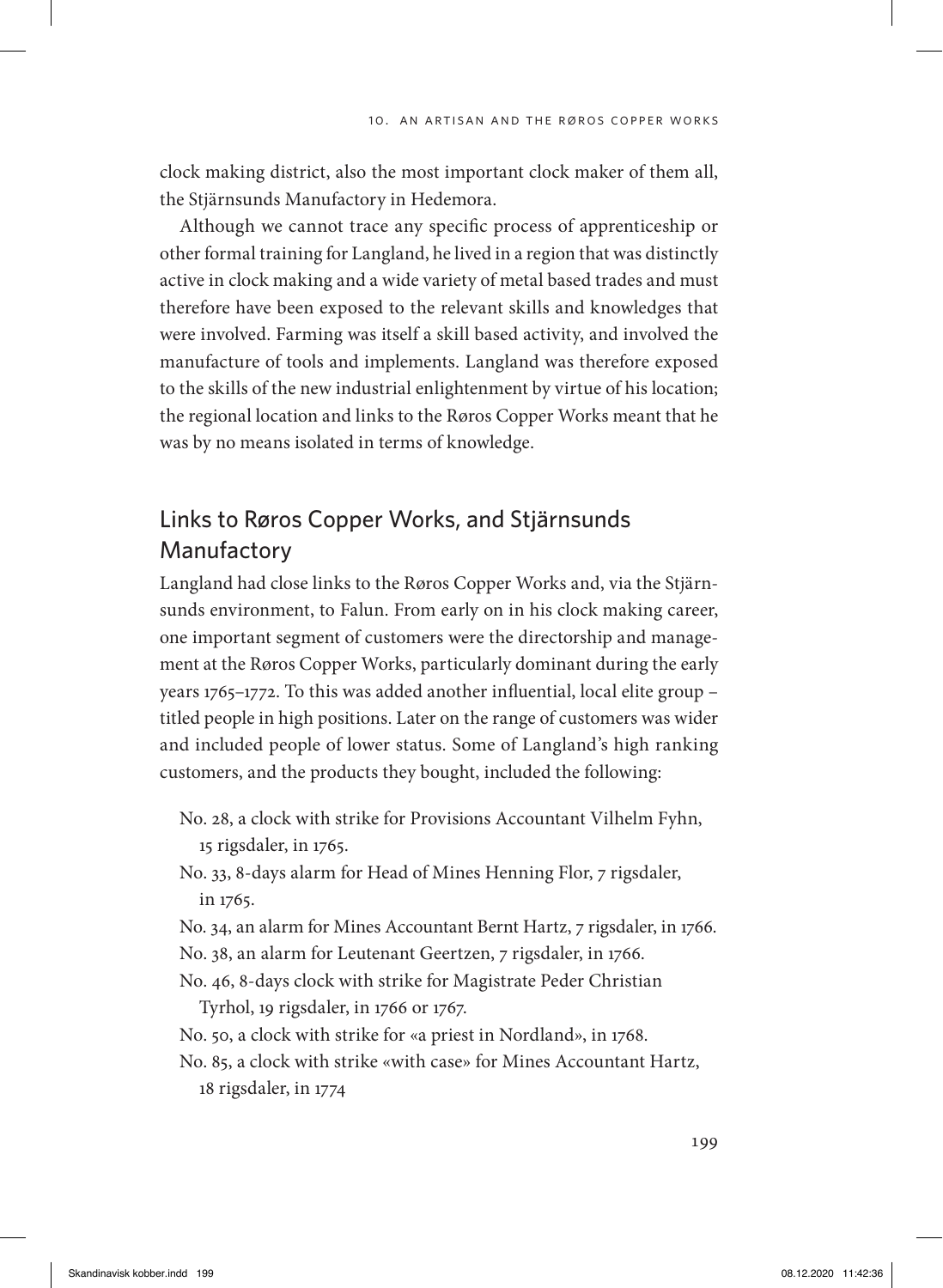clock making district, also the most important clock maker of them all, the Stjärnsunds Manufactory in Hedemora.

Although we cannot trace any specific process of apprenticeship or other formal training for Langland, he lived in a region that was distinctly active in clock making and a wide variety of metal based trades and must therefore have been exposed to the relevant skills and knowledges that were involved. Farming was itself a skill based activity, and involved the manufacture of tools and implements. Langland was therefore exposed to the skills of the new industrial enlightenment by virtue of his location; the regional location and links to the Røros Copper Works meant that he was by no means isolated in terms of knowledge.

# Links to Røros Copper Works, and Stjärnsunds Manufactory

Langland had close links to the Røros Copper Works and, via the Stjärnsunds environment, to Falun. From early on in his clock making career, one important segment of customers were the directorship and management at the Røros Copper Works, particularly dominant during the early years 1765–1772. To this was added another influential, local elite group – titled people in high positions. Later on the range of customers was wider and included people of lower status. Some of Langland's high ranking customers, and the products they bought, included the following:

- No. 28, a clock with strike for Provisions Accountant Vilhelm Fyhn, 15 rigsdaler, in 1765.
- No. 33, 8-days alarm for Head of Mines Henning Flor, 7 rigsdaler, in 1765.
- No. 34, an alarm for Mines Accountant Bernt Hartz, 7 rigsdaler, in 1766.
- No. 38, an alarm for Leutenant Geertzen, 7 rigsdaler, in 1766.
- No. 46, 8-days clock with strike for Magistrate Peder Christian Tyrhol, 19 rigsdaler, in 1766 or 1767.
- No. 50, a clock with strike for «a priest in Nordland», in 1768.
- No. 85, a clock with strike «with case» for Mines Accountant Hartz, 18 rigsdaler, in 1774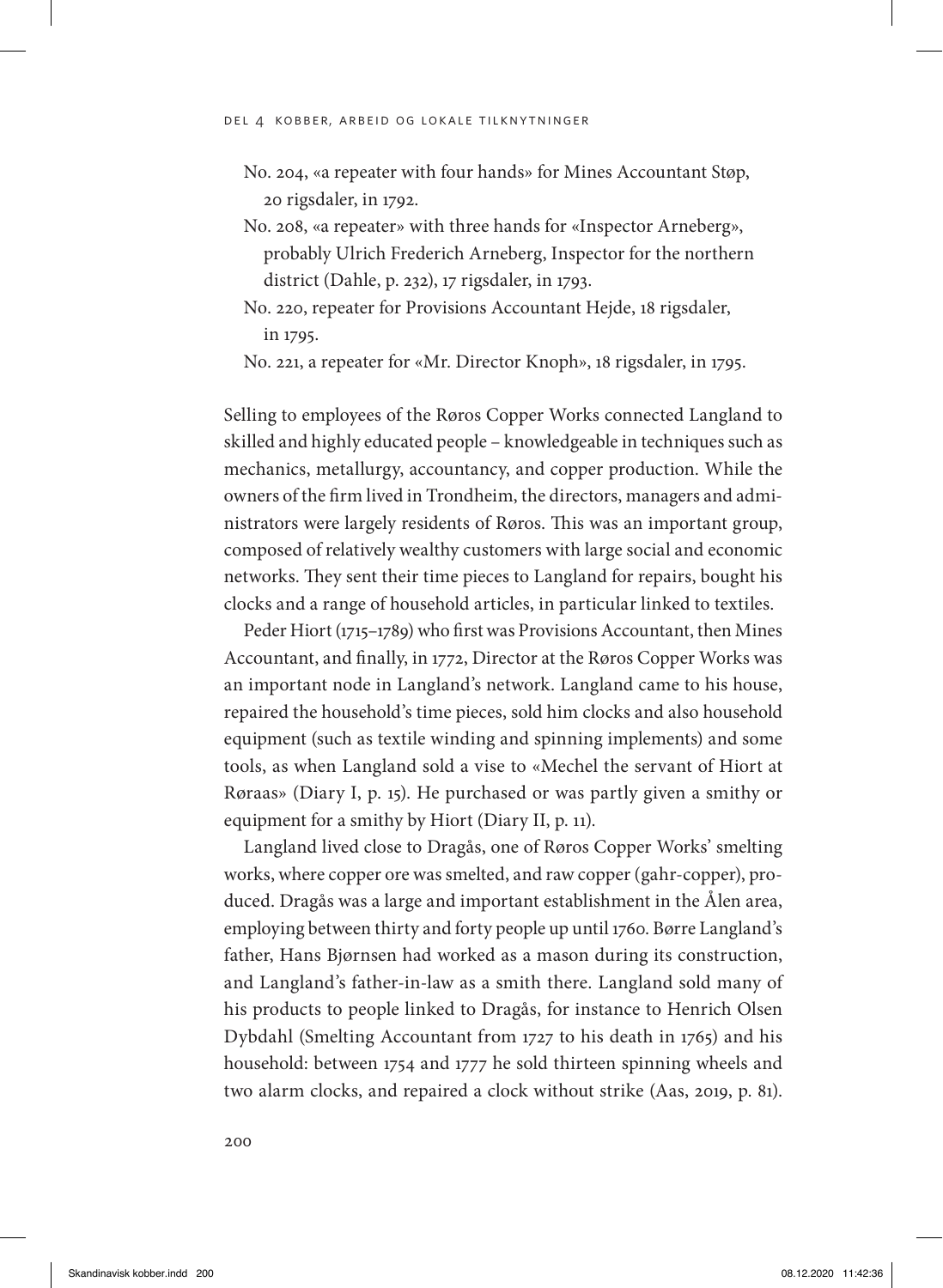- No. 204, «a repeater with four hands» for Mines Accountant Støp, 20 rigsdaler, in 1792.
- No. 208, «a repeater» with three hands for «Inspector Arneberg», probably Ulrich Frederich Arneberg, Inspector for the northern district (Dahle, p. 232), 17 rigsdaler, in 1793.
- No. 220, repeater for Provisions Accountant Hejde, 18 rigsdaler, in 1795.

No. 221, a repeater for «Mr. Director Knoph», 18 rigsdaler, in 1795.

Selling to employees of the Røros Copper Works connected Langland to skilled and highly educated people – knowledgeable in techniques such as mechanics, metallurgy, accountancy, and copper production. While the owners of the firm lived in Trondheim, the directors, managers and administrators were largely residents of Røros. This was an important group, composed of relatively wealthy customers with large social and economic networks. They sent their time pieces to Langland for repairs, bought his clocks and a range of household articles, in particular linked to textiles.

Peder Hiort (1715–1789) who first was Provisions Accountant, then Mines Accountant, and finally, in 1772, Director at the Røros Copper Works was an important node in Langland's network. Langland came to his house, repaired the household's time pieces, sold him clocks and also household equipment (such as textile winding and spinning implements) and some tools, as when Langland sold a vise to «Mechel the servant of Hiort at Røraas» (Diary I, p. 15). He purchased or was partly given a smithy or equipment for a smithy by Hiort (Diary II, p. 11).

Langland lived close to Dragås, one of Røros Copper Works' smelting works, where copper ore was smelted, and raw copper (gahr-copper), produced. Dragås was a large and important establishment in the Ålen area, employing between thirty and forty people up until 1760. Børre Langland's father, Hans Bjørnsen had worked as a mason during its construction, and Langland's father-in-law as a smith there. Langland sold many of his products to people linked to Dragås, for instance to Henrich Olsen Dybdahl (Smelting Accountant from 1727 to his death in 1765) and his household: between 1754 and 1777 he sold thirteen spinning wheels and two alarm clocks, and repaired a clock without strike (Aas, 2019, p. 81).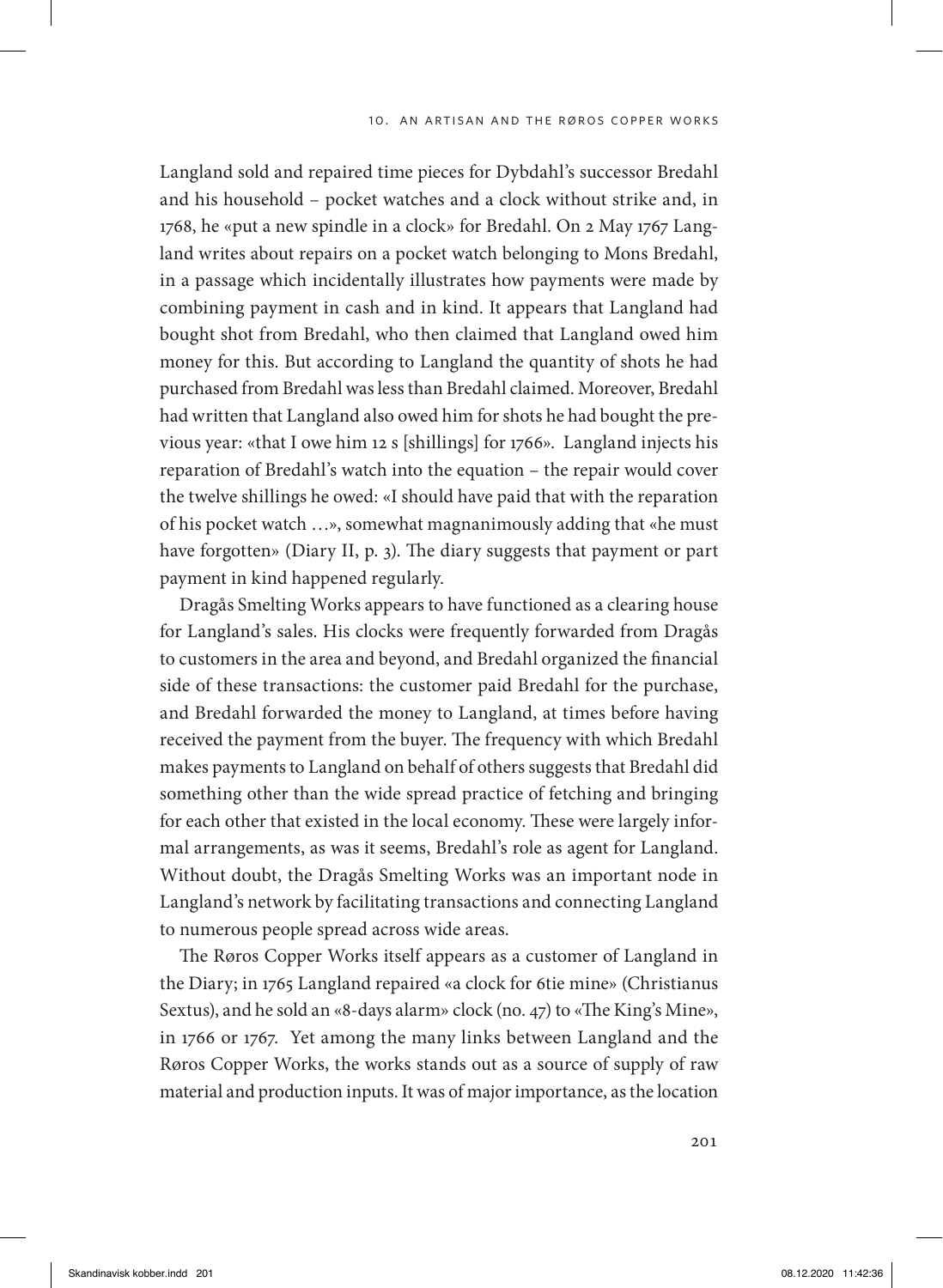Langland sold and repaired time pieces for Dybdahl's successor Bredahl and his household – pocket watches and a clock without strike and, in 1768, he «put a new spindle in a clock» for Bredahl. On 2 May 1767 Langland writes about repairs on a pocket watch belonging to Mons Bredahl, in a passage which incidentally illustrates how payments were made by combining payment in cash and in kind. It appears that Langland had bought shot from Bredahl, who then claimed that Langland owed him money for this. But according to Langland the quantity of shots he had purchased from Bredahl was less than Bredahl claimed. Moreover, Bredahl had written that Langland also owed him for shots he had bought the previous year: «that I owe him 12 s [shillings] for 1766». Langland injects his reparation of Bredahl's watch into the equation – the repair would cover the twelve shillings he owed: «I should have paid that with the reparation of his pocket watch …», somewhat magnanimously adding that «he must have forgotten» (Diary II, p. 3). The diary suggests that payment or part payment in kind happened regularly.

Dragås Smelting Works appears to have functioned as a clearing house for Langland's sales. His clocks were frequently forwarded from Dragås to customers in the area and beyond, and Bredahl organized the financial side of these transactions: the customer paid Bredahl for the purchase, and Bredahl forwarded the money to Langland, at times before having received the payment from the buyer. The frequency with which Bredahl makes payments to Langland on behalf of others suggests that Bredahl did something other than the wide spread practice of fetching and bringing for each other that existed in the local economy. These were largely informal arrangements, as was it seems, Bredahl's role as agent for Langland. Without doubt, the Dragås Smelting Works was an important node in Langland's network by facilitating transactions and connecting Langland to numerous people spread across wide areas.

The Røros Copper Works itself appears as a customer of Langland in the Diary; in 1765 Langland repaired «a clock for 6tie mine» (Christianus Sextus), and he sold an «8-days alarm» clock (no. 47) to «The King's Mine», in 1766 or 1767. Yet among the many links between Langland and the Røros Copper Works, the works stands out as a source of supply of raw material and production inputs. It was of major importance, as the location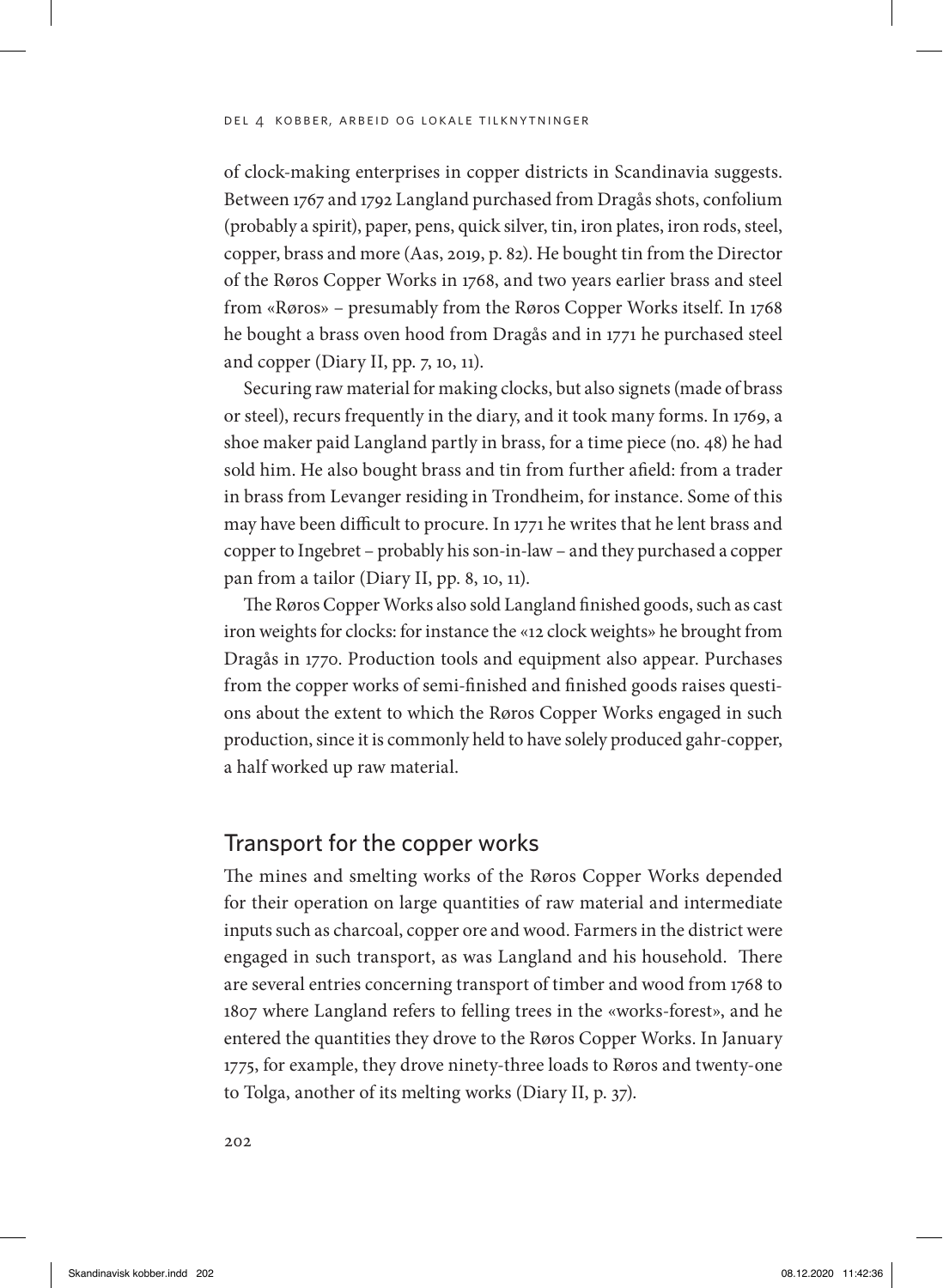of clock-making enterprises in copper districts in Scandinavia suggests. Between 1767 and 1792 Langland purchased from Dragås shots, confolium (probably a spirit), paper, pens, quick silver, tin, iron plates, iron rods, steel, copper, brass and more (Aas, 2019, p. 82). He bought tin from the Director of the Røros Copper Works in 1768, and two years earlier brass and steel from «Røros» – presumably from the Røros Copper Works itself. In 1768 he bought a brass oven hood from Dragås and in 1771 he purchased steel and copper (Diary II, pp. 7, 10, 11).

Securing raw material for making clocks, but also signets (made of brass or steel), recurs frequently in the diary, and it took many forms. In 1769, a shoe maker paid Langland partly in brass, for a time piece (no. 48) he had sold him. He also bought brass and tin from further afield: from a trader in brass from Levanger residing in Trondheim, for instance. Some of this may have been difficult to procure. In 1771 he writes that he lent brass and copper to Ingebret – probably his son-in-law – and they purchased a copper pan from a tailor (Diary II, pp. 8, 10, 11).

The Røros Copper Works also sold Langland finished goods, such as cast iron weights for clocks: for instance the «12 clock weights» he brought from Dragås in 1770. Production tools and equipment also appear. Purchases from the copper works of semi-finished and finished goods raises questions about the extent to which the Røros Copper Works engaged in such production, since it is commonly held to have solely produced gahr-copper, a half worked up raw material.

# Transport for the copper works

The mines and smelting works of the Røros Copper Works depended for their operation on large quantities of raw material and intermediate inputs such as charcoal, copper ore and wood. Farmers in the district were engaged in such transport, as was Langland and his household. There are several entries concerning transport of timber and wood from 1768 to 1807 where Langland refers to felling trees in the «works-forest», and he entered the quantities they drove to the Røros Copper Works. In January 1775, for example, they drove ninety-three loads to Røros and twenty-one to Tolga, another of its melting works (Diary II, p. 37).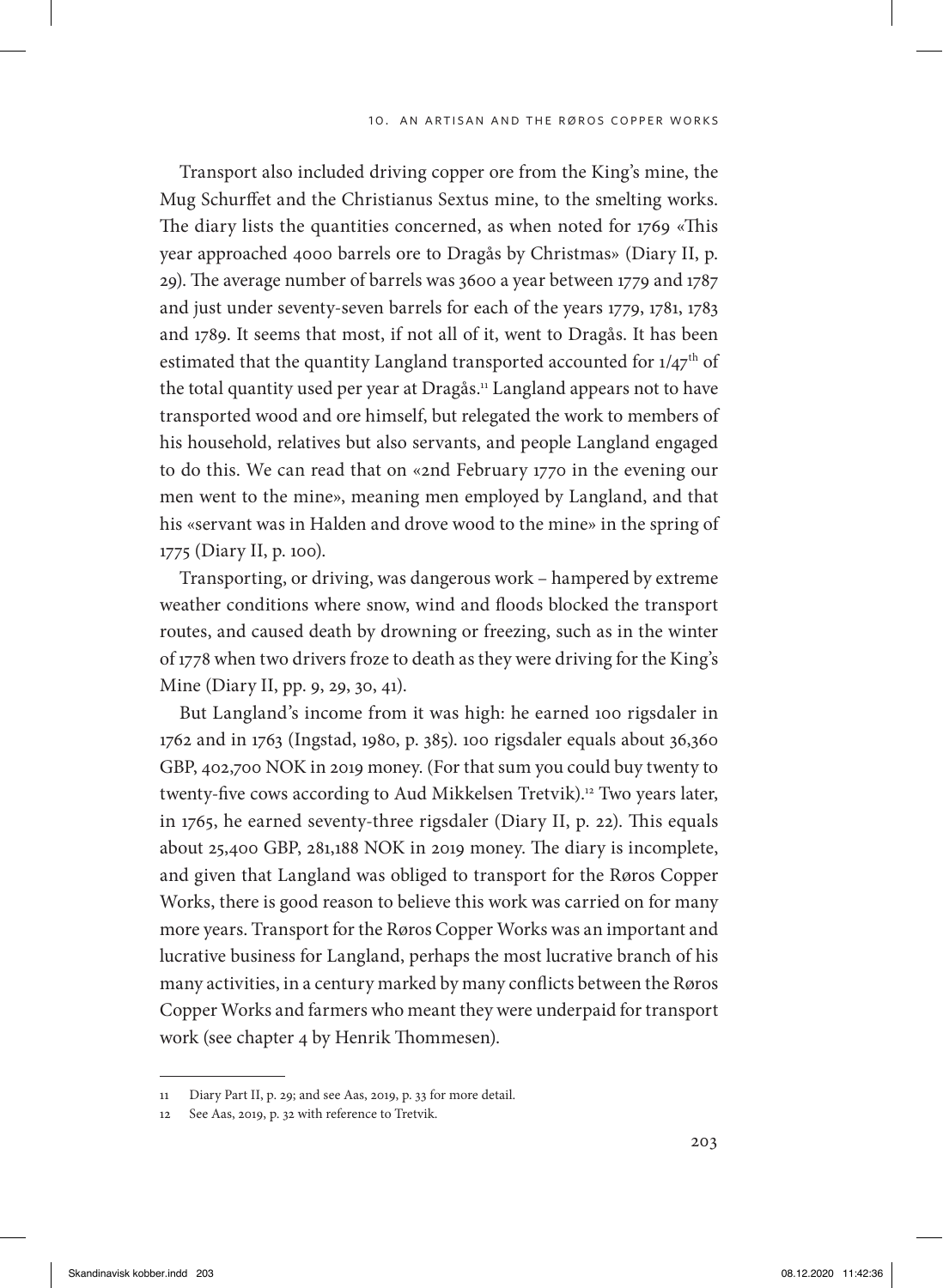Transport also included driving copper ore from the King's mine, the Mug Schurffet and the Christianus Sextus mine, to the smelting works. The diary lists the quantities concerned, as when noted for 1769 «This year approached 4000 barrels ore to Dragås by Christmas» (Diary II, p. 29). The average number of barrels was 3600 a year between 1779 and 1787 and just under seventy-seven barrels for each of the years 1779, 1781, 1783 and 1789. It seems that most, if not all of it, went to Dragås. It has been estimated that the quantity Langland transported accounted for  $1/47<sup>th</sup>$  of the total quantity used per year at Dragås.<sup>11</sup> Langland appears not to have transported wood and ore himself, but relegated the work to members of his household, relatives but also servants, and people Langland engaged to do this. We can read that on «2nd February 1770 in the evening our men went to the mine», meaning men employed by Langland, and that his «servant was in Halden and drove wood to the mine» in the spring of 1775 (Diary II, p. 100).

Transporting, or driving, was dangerous work – hampered by extreme weather conditions where snow, wind and floods blocked the transport routes, and caused death by drowning or freezing, such as in the winter of 1778 when two drivers froze to death as they were driving for the King's Mine (Diary II, pp. 9, 29, 30, 41).

But Langland's income from it was high: he earned 100 rigsdaler in 1762 and in 1763 (Ingstad, 1980, p. 385). 100 rigsdaler equals about 36,360 GBP, 402,700 NOK in 2019 money. (For that sum you could buy twenty to twenty-five cows according to Aud Mikkelsen Tretvik).<sup>12</sup> Two years later, in 1765, he earned seventy-three rigsdaler (Diary II, p. 22). This equals about 25,400 GBP, 281,188 NOK in 2019 money. The diary is incomplete, and given that Langland was obliged to transport for the Røros Copper Works, there is good reason to believe this work was carried on for many more years. Transport for the Røros Copper Works was an important and lucrative business for Langland, perhaps the most lucrative branch of his many activities, in a century marked by many conflicts between the Røros Copper Works and farmers who meant they were underpaid for transport work (see chapter 4 by Henrik Thommesen).

<sup>11</sup> Diary Part II, p. 29; and see Aas, 2019, p. 33 for more detail.

<sup>12</sup> See Aas, 2019, p. 32 with reference to Tretvik.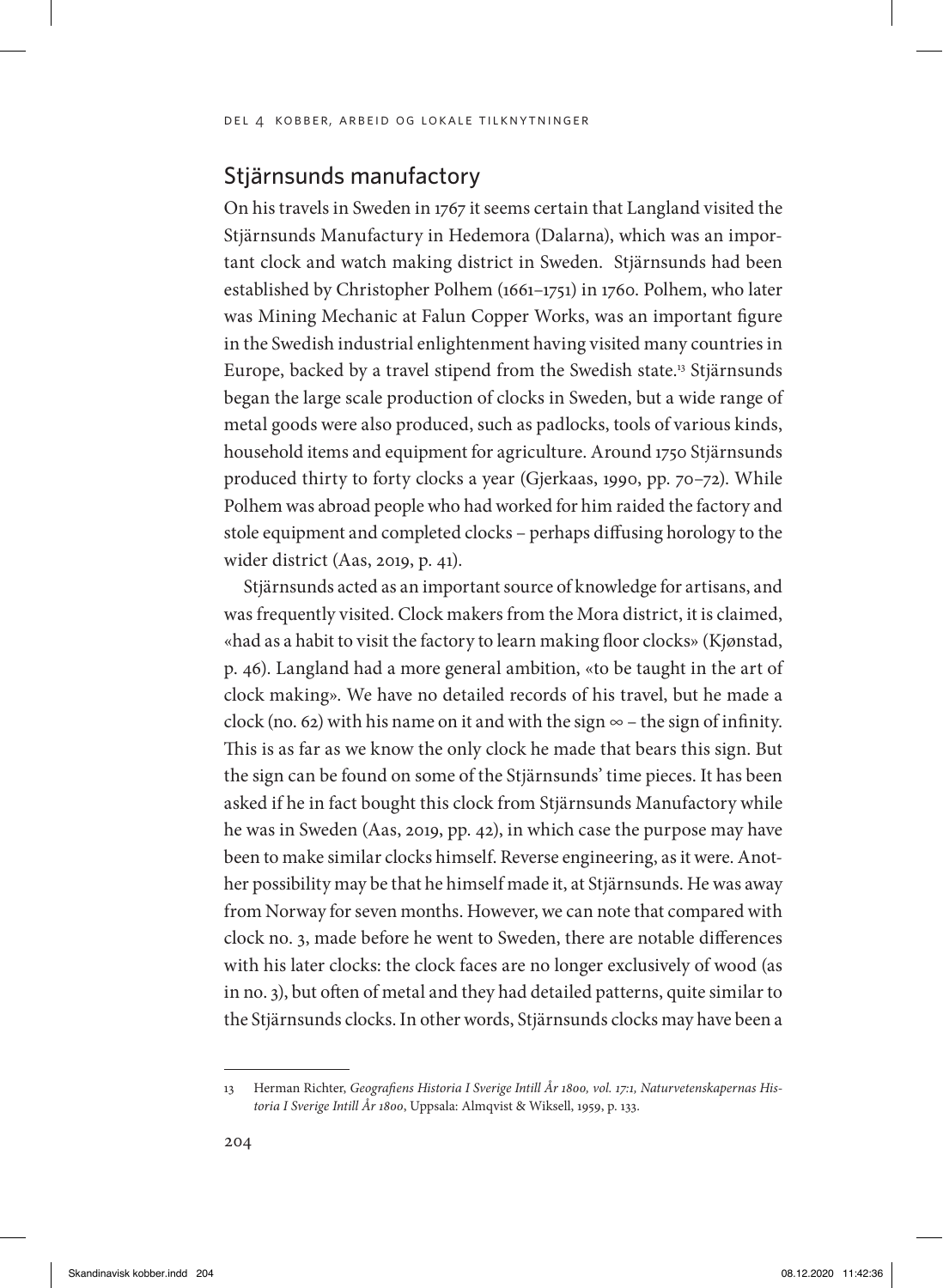# Stjärnsunds manufactory

On his travels in Sweden in 1767 it seems certain that Langland visited the Stjärnsunds Manufactury in Hedemora (Dalarna), which was an important clock and watch making district in Sweden. Stjärnsunds had been established by Christopher Polhem (1661–1751) in 1760. Polhem, who later was Mining Mechanic at Falun Copper Works, was an important figure in the Swedish industrial enlightenment having visited many countries in Europe, backed by a travel stipend from the Swedish state.<sup>13</sup> Stjärnsunds began the large scale production of clocks in Sweden, but a wide range of metal goods were also produced, such as padlocks, tools of various kinds, household items and equipment for agriculture. Around 1750 Stjärnsunds produced thirty to forty clocks a year (Gjerkaas, 1990, pp. 70–72). While Polhem was abroad people who had worked for him raided the factory and stole equipment and completed clocks – perhaps diffusing horology to the wider district (Aas, 2019, p. 41).

Stjärnsunds acted as an important source of knowledge for artisans, and was frequently visited. Clock makers from the Mora district, it is claimed, «had as a habit to visit the factory to learn making floor clocks» (Kjønstad, p. 46). Langland had a more general ambition, «to be taught in the art of clock making». We have no detailed records of his travel, but he made a clock (no. 62) with his name on it and with the sign  $\infty$  – the sign of infinity. This is as far as we know the only clock he made that bears this sign. But the sign can be found on some of the Stjärnsunds' time pieces. It has been asked if he in fact bought this clock from Stjärnsunds Manufactory while he was in Sweden (Aas, 2019, pp. 42), in which case the purpose may have been to make similar clocks himself. Reverse engineering, as it were. Another possibility may be that he himself made it, at Stjärnsunds. He was away from Norway for seven months. However, we can note that compared with clock no. 3, made before he went to Sweden, there are notable differences with his later clocks: the clock faces are no longer exclusively of wood (as in no. 3), but often of metal and they had detailed patterns, quite similar to the Stjärnsunds clocks. In other words, Stjärnsunds clocks may have been a

<sup>13</sup> Herman Richter, *Geografiens Historia I Sverige Intill År 1800, vol. 17:1, Naturvetenskapernas Historia I Sverige Intill År 1800*, Uppsala: Almqvist & Wiksell, 1959, p. 133.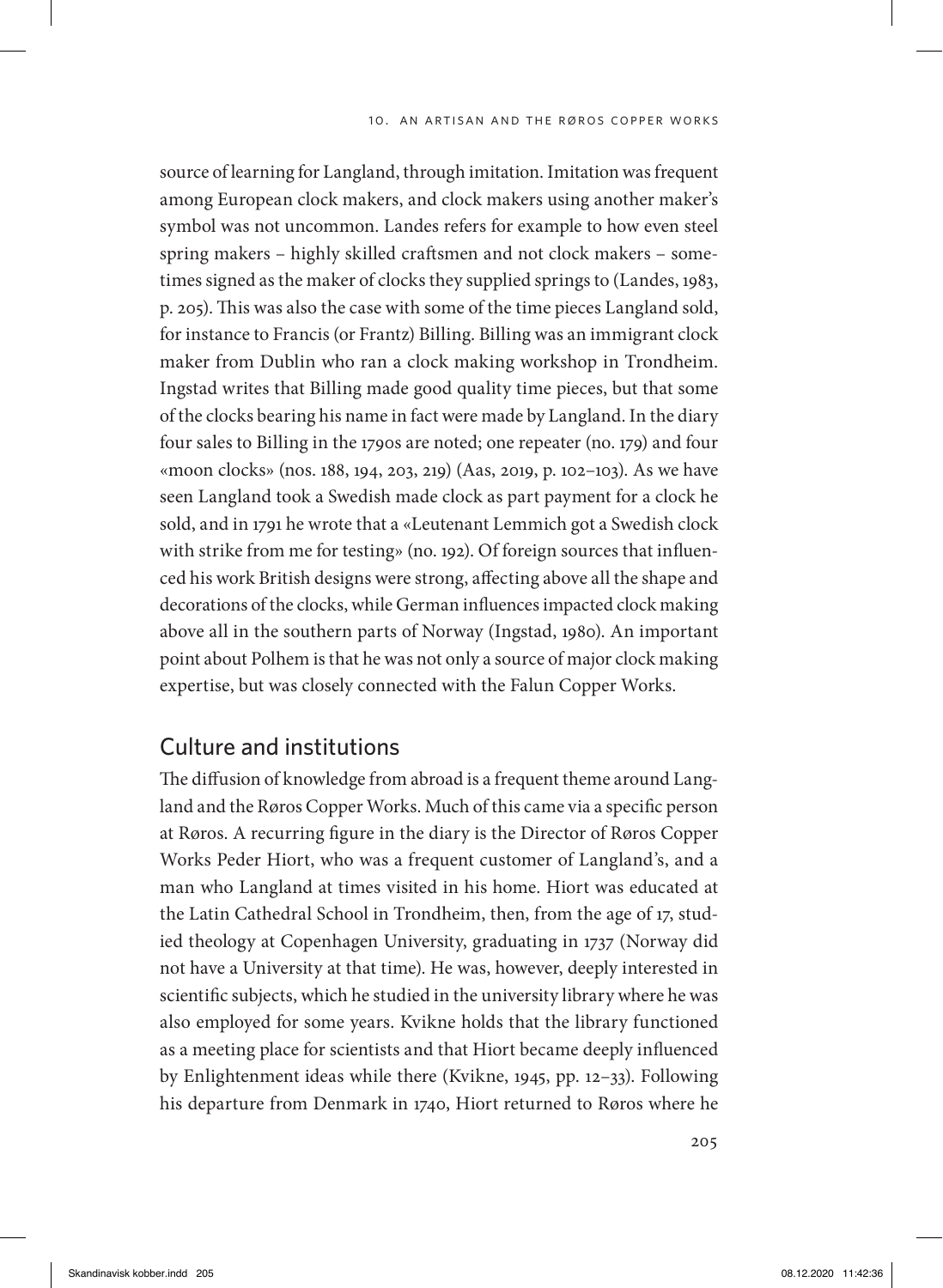source of learning for Langland, through imitation. Imitation was frequent among European clock makers, and clock makers using another maker's symbol was not uncommon. Landes refers for example to how even steel spring makers – highly skilled craftsmen and not clock makers – sometimes signed as the maker of clocks they supplied springs to (Landes, 1983, p. 205). This was also the case with some of the time pieces Langland sold, for instance to Francis (or Frantz) Billing. Billing was an immigrant clock maker from Dublin who ran a clock making workshop in Trondheim. Ingstad writes that Billing made good quality time pieces, but that some of the clocks bearing his name in fact were made by Langland. In the diary four sales to Billing in the 1790s are noted; one repeater (no. 179) and four «moon clocks» (nos. 188, 194, 203, 219) (Aas, 2019, p. 102–103). As we have seen Langland took a Swedish made clock as part payment for a clock he sold, and in 1791 he wrote that a «Leutenant Lemmich got a Swedish clock with strike from me for testing» (no. 192). Of foreign sources that influenced his work British designs were strong, affecting above all the shape and decorations of the clocks, while German influences impacted clock making above all in the southern parts of Norway (Ingstad, 1980). An important point about Polhem is that he was not only a source of major clock making expertise, but was closely connected with the Falun Copper Works.

# Culture and institutions

The diffusion of knowledge from abroad is a frequent theme around Langland and the Røros Copper Works. Much of this came via a specific person at Røros. A recurring figure in the diary is the Director of Røros Copper Works Peder Hiort, who was a frequent customer of Langland's, and a man who Langland at times visited in his home. Hiort was educated at the Latin Cathedral School in Trondheim, then, from the age of 17, studied theology at Copenhagen University, graduating in 1737 (Norway did not have a University at that time). He was, however, deeply interested in scientific subjects, which he studied in the university library where he was also employed for some years. Kvikne holds that the library functioned as a meeting place for scientists and that Hiort became deeply influenced by Enlightenment ideas while there (Kvikne, 1945, pp. 12–33). Following his departure from Denmark in 1740, Hiort returned to Røros where he

205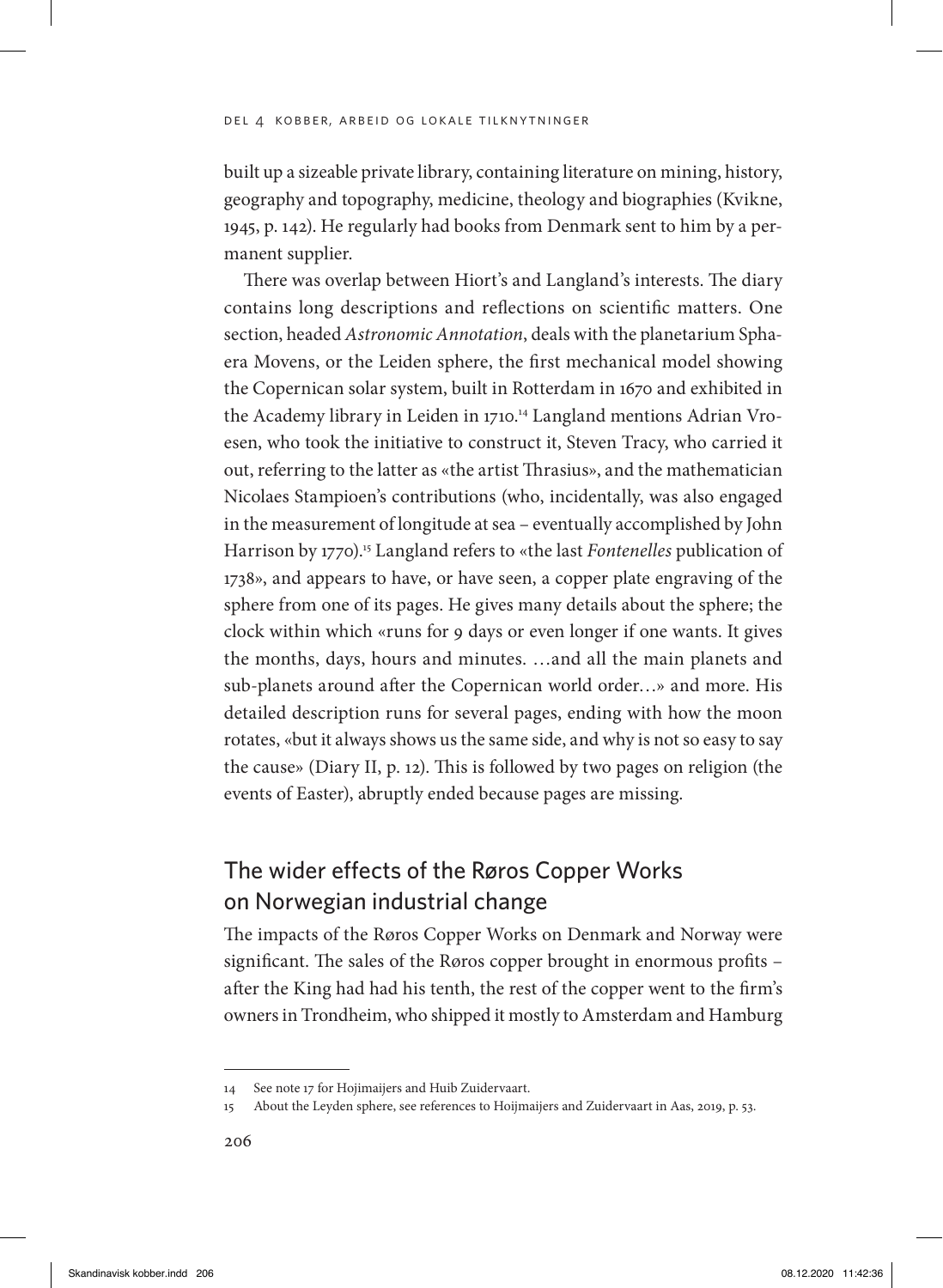built up a sizeable private library, containing literature on mining, history, geography and topography, medicine, theology and biographies (Kvikne, 1945, p. 142). He regularly had books from Denmark sent to him by a permanent supplier.

There was overlap between Hiort's and Langland's interests. The diary contains long descriptions and reflections on scientific matters. One section, headed *Astronomic Annotation*, deals with the planetarium Sphaera Movens, or the Leiden sphere, the first mechanical model showing the Copernican solar system, built in Rotterdam in 1670 and exhibited in the Academy library in Leiden in 1710.14 Langland mentions Adrian Vroesen, who took the initiative to construct it, Steven Tracy, who carried it out, referring to the latter as «the artist Thrasius», and the mathematician Nicolaes Stampioen's contributions (who, incidentally, was also engaged in the measurement of longitude at sea – eventually accomplished by John Harrison by 1770).15 Langland refers to «the last *Fontenelles* publication of 1738», and appears to have, or have seen, a copper plate engraving of the sphere from one of its pages. He gives many details about the sphere; the clock within which «runs for 9 days or even longer if one wants. It gives the months, days, hours and minutes. …and all the main planets and sub-planets around after the Copernican world order…» and more. His detailed description runs for several pages, ending with how the moon rotates, «but it always shows us the same side, and why is not so easy to say the cause» (Diary II, p. 12). This is followed by two pages on religion (the events of Easter), abruptly ended because pages are missing.

# The wider effects of the Røros Copper Works on Norwegian industrial change

The impacts of the Røros Copper Works on Denmark and Norway were significant. The sales of the Røros copper brought in enormous profits – after the King had had his tenth, the rest of the copper went to the firm's owners in Trondheim, who shipped it mostly to Amsterdam and Hamburg

<sup>14</sup> See note 17 for Hojimaijers and Huib Zuidervaart.

<sup>15</sup> About the Leyden sphere, see references to Hoijmaijers and Zuidervaart in Aas, 2019, p. 53.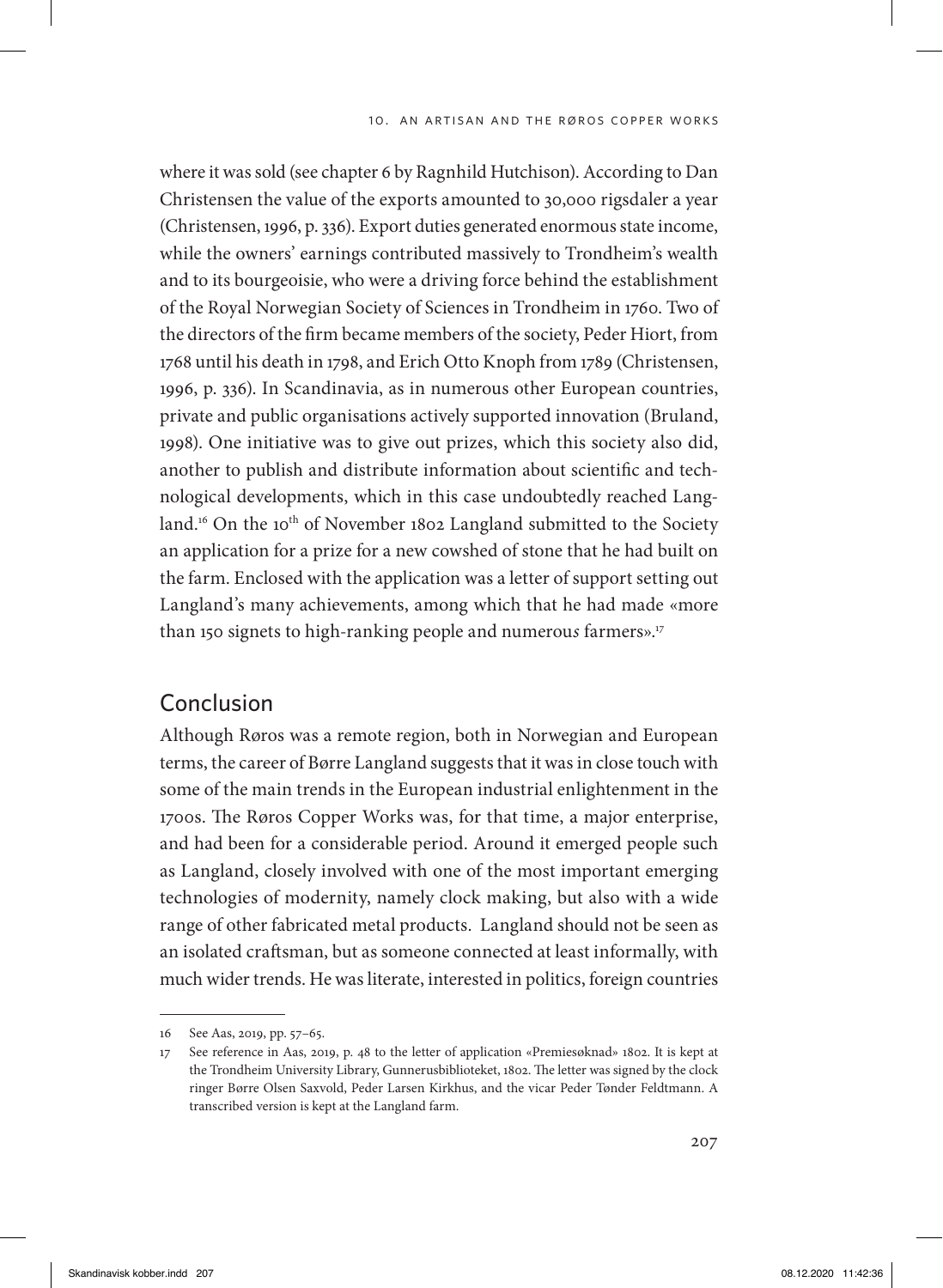where it was sold (see chapter 6 by Ragnhild Hutchison). According to Dan Christensen the value of the exports amounted to 30,000 rigsdaler a year (Christensen, 1996, p. 336). Export duties generated enormous state income, while the owners' earnings contributed massively to Trondheim's wealth and to its bourgeoisie, who were a driving force behind the establishment of the Royal Norwegian Society of Sciences in Trondheim in 1760. Two of the directors of the firm became members of the society, Peder Hiort, from 1768 until his death in 1798, and Erich Otto Knoph from 1789 (Christensen, 1996, p. 336). In Scandinavia, as in numerous other European countries, private and public organisations actively supported innovation (Bruland, 1998). One initiative was to give out prizes, which this society also did, another to publish and distribute information about scientific and technological developments, which in this case undoubtedly reached Langland.<sup>16</sup> On the 10<sup>th</sup> of November 1802 Langland submitted to the Society an application for a prize for a new cowshed of stone that he had built on the farm. Enclosed with the application was a letter of support setting out Langland's many achievements, among which that he had made «more than 150 signets to high-ranking people and numerou*s* farmers».17

# Conclusion

Although Røros was a remote region, both in Norwegian and European terms, the career of Børre Langland suggests that it was in close touch with some of the main trends in the European industrial enlightenment in the 1700s. The Røros Copper Works was, for that time, a major enterprise, and had been for a considerable period. Around it emerged people such as Langland, closely involved with one of the most important emerging technologies of modernity, namely clock making, but also with a wide range of other fabricated metal products. Langland should not be seen as an isolated craftsman, but as someone connected at least informally, with much wider trends. He was literate, interested in politics, foreign countries

<sup>16</sup> See Aas, 2019, pp. 57–65.

<sup>17</sup> See reference in Aas, 2019, p. 48 to the letter of application «Premiesøknad» 1802. It is kept at the Trondheim University Library, Gunnerusbiblioteket, 1802. The letter was signed by the clock ringer Børre Olsen Saxvold, Peder Larsen Kirkhus, and the vicar Peder Tønder Feldtmann. A transcribed version is kept at the Langland farm.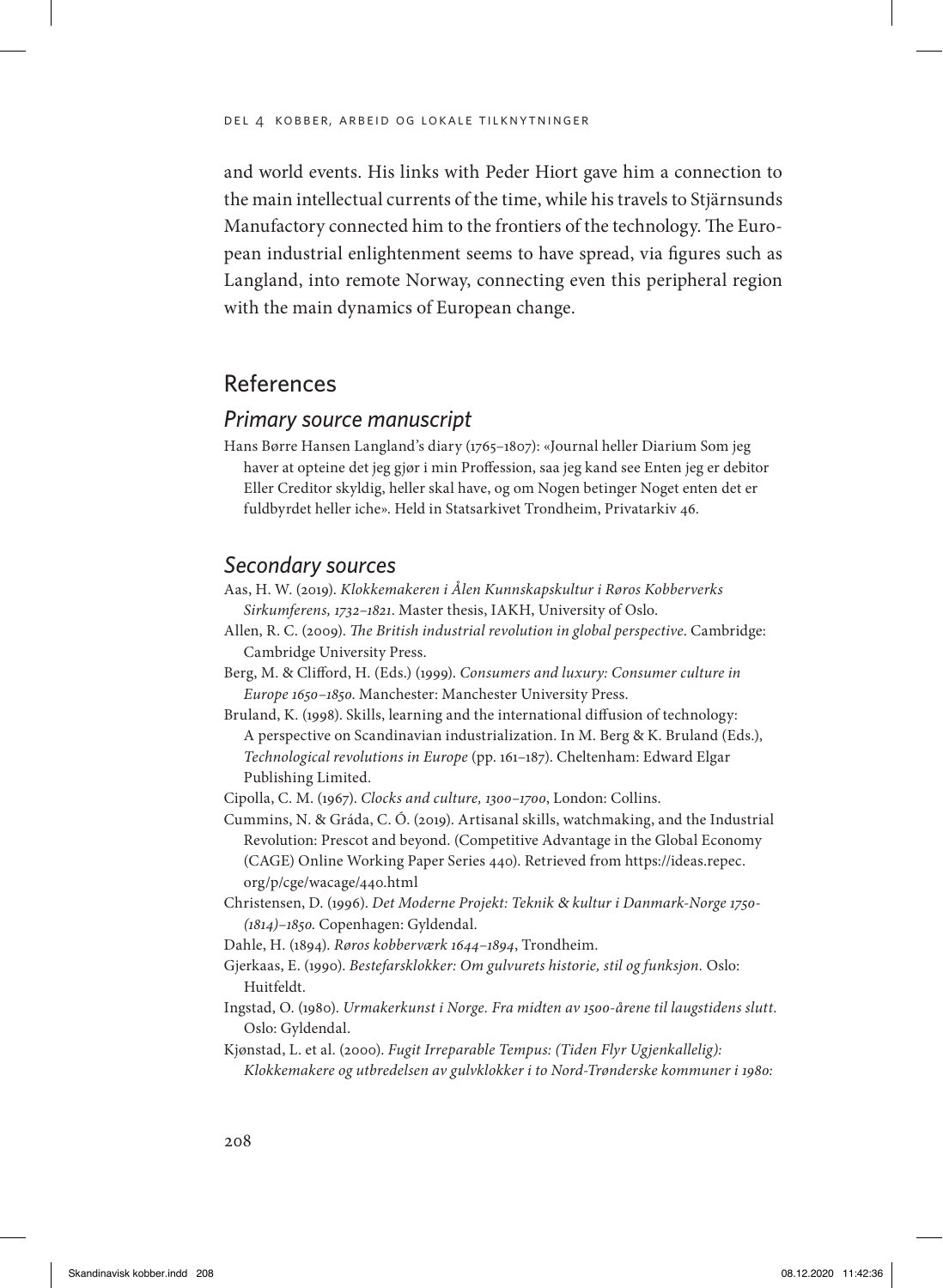and world events. His links with Peder Hiort gave him a connection to the main intellectual currents of the time, while his travels to Stjärnsunds Manufactory connected him to the frontiers of the technology. The European industrial enlightenment seems to have spread, via figures such as Langland, into remote Norway, connecting even this peripheral region with the main dynamics of European change.

## References

#### *Primary source manuscript*

Hans Børre Hansen Langland's diary (1765–1807): «Journal heller Diarium Som jeg haver at opteine det jeg gjør i min Proffession, saa jeg kand see Enten jeg er debitor Eller Creditor skyldig, heller skal have, og om Nogen betinger Noget enten det er fuldbyrdet heller iche». Held in Statsarkivet Trondheim, Privatarkiv 46.

#### *Secondary sources*

- Aas, H. W. (2019). *Klokkemakeren i Ålen Kunnskapskultur i Røros Kobberverks Sirkumferens, 1732–1821*. Master thesis, IAKH, University of Oslo.
- Allen, R. C. (2009). *The British industrial revolution in global perspective*. Cambridge: Cambridge University Press.
- Berg, M. & Clifford, H. (Eds.) (1999). *Consumers and luxury: Consumer culture in Europe 1650*–*1850*. Manchester: Manchester University Press.
- Bruland, K. (1998). Skills, learning and the international diffusion of technology: A perspective on Scandinavian industrialization. In M. Berg & K. Bruland (Eds.), *Technological revolutions in Europe* (pp. 161–187). Cheltenham: Edward Elgar Publishing Limited.

Cipolla, C. M. (1967). *Clocks and culture, 1300–1700*, London: Collins.

- Cummins, N. & Gráda, C. Ó. (2019). Artisanal skills, watchmaking, and the Industrial Revolution: Prescot and beyond. (Competitive Advantage in the Global Economy (CAGE) Online Working Paper Series 440). Retrieved from https://ideas.repec. org/p/cge/wacage/440.html
- Christensen, D. (1996). *Det Moderne Projekt: Teknik* & *kultur i Danmark-Norge 1750- (1814)–1850*. Copenhagen: Gyldendal.
- Dahle, H. (1894). *Røros kobberværk 1644*–*1894*, Trondheim.
- Gjerkaas, E. (1990). *Bestefarsklokker: Om gulvurets historie, stil og funksjon.* Oslo: Huitfeldt.
- Ingstad, O. (1980). *Urmakerkunst i Norge. Fra midten av 1500-årene til laugstidens slutt*. Oslo: Gyldendal.
- Kjønstad, L. et al. (2000). *Fugit Irreparable Tempus: (Tiden Flyr Ugjenkallelig): Klokkemakere og utbredelsen av gulvklokker i to Nord-Trønderske kommuner i 1980:*